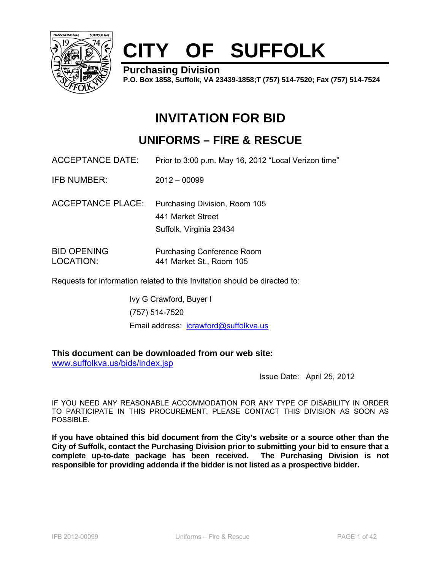

# **CITY OF SUFFOLK**

**Purchasing Division** 

**P.O. Box 1858, Suffolk, VA 23439-1858;T (757) 514-7520; Fax (757) 514-7524**

# **INVITATION FOR BID**

# **UNIFORMS – FIRE & RESCUE**

ACCEPTANCE DATE: Prior to 3:00 p.m. May 16, 2012 "Local Verizon time"

IFB NUMBER: 2012 – 00099

ACCEPTANCE PLACE: Purchasing Division, Room 105 441 Market Street Suffolk, Virginia 23434

BID OPENING Purchasing Conference Room LOCATION: 441 Market St., Room 105

Requests for information related to this Invitation should be directed to:

Ivy G Crawford, Buyer I (757) 514-7520 Email address: icrawford@suffolkva.us

# **This document can be downloaded from our web site:**

www.suffolkva.us/bids/index.jsp

Issue Date: April 25, 2012

IF YOU NEED ANY REASONABLE ACCOMMODATION FOR ANY TYPE OF DISABILITY IN ORDER TO PARTICIPATE IN THIS PROCUREMENT, PLEASE CONTACT THIS DIVISION AS SOON AS POSSIBLE.

**If you have obtained this bid document from the City's website or a source other than the City of Suffolk, contact the Purchasing Division prior to submitting your bid to ensure that a complete up-to-date package has been received. The Purchasing Division is not responsible for providing addenda if the bidder is not listed as a prospective bidder.**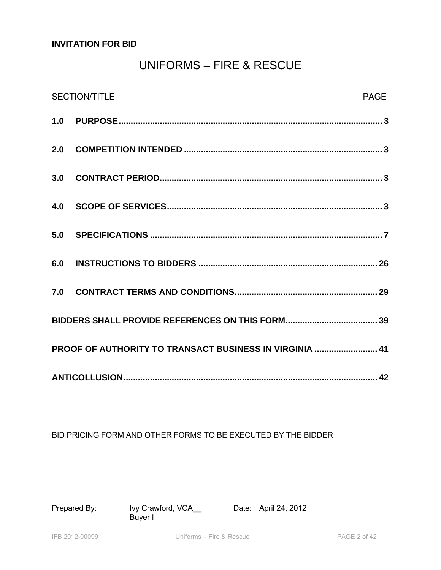# **INVITATION FOR BID**

# UNIFORMS – FIRE & RESCUE

| <b>SECTION/TITLE</b>                                    | PAGE |
|---------------------------------------------------------|------|
|                                                         |      |
|                                                         |      |
|                                                         |      |
|                                                         |      |
|                                                         |      |
|                                                         |      |
|                                                         |      |
|                                                         |      |
| PROOF OF AUTHORITY TO TRANSACT BUSINESS IN VIRGINIA  41 |      |
|                                                         |      |

BID PRICING FORM AND OTHER FORMS TO BE EXECUTED BY THE BIDDER

Prepared By: <u>Ivy Crawford, VCA Date: April 24, 2012</u> **Buyer I**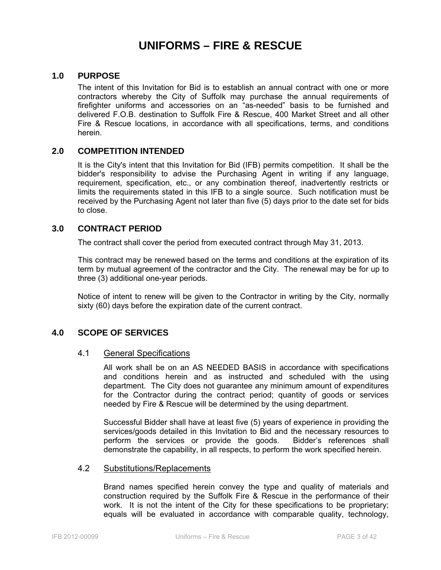# **UNIFORMS – FIRE & RESCUE**

# **1.0 PURPOSE**

The intent of this Invitation for Bid is to establish an annual contract with one or more contractors whereby the City of Suffolk may purchase the annual requirements of firefighter uniforms and accessories on an "as-needed" basis to be furnished and delivered F.O.B. destination to Suffolk Fire & Rescue, 400 Market Street and all other Fire & Rescue locations, in accordance with all specifications, terms, and conditions herein.

#### **2.0 COMPETITION INTENDED**

It is the City's intent that this Invitation for Bid (IFB) permits competition. It shall be the bidder's responsibility to advise the Purchasing Agent in writing if any language, requirement, specification, etc., or any combination thereof, inadvertently restricts or limits the requirements stated in this IFB to a single source. Such notification must be received by the Purchasing Agent not later than five (5) days prior to the date set for bids to close.

#### **3.0 CONTRACT PERIOD**

The contract shall cover the period from executed contract through May 31, 2013.

This contract may be renewed based on the terms and conditions at the expiration of its term by mutual agreement of the contractor and the City. The renewal may be for up to three (3) additional one-year periods.

Notice of intent to renew will be given to the Contractor in writing by the City, normally sixty (60) days before the expiration date of the current contract.

# **4.0 SCOPE OF SERVICES**

# 4.1 General Specifications

 All work shall be on an AS NEEDED BASIS in accordance with specifications and conditions herein and as instructed and scheduled with the using department. The City does not guarantee any minimum amount of expenditures for the Contractor during the contract period; quantity of goods or services needed by Fire & Rescue will be determined by the using department.

Successful Bidder shall have at least five (5) years of experience in providing the services/goods detailed in this Invitation to Bid and the necessary resources to perform the services or provide the goods. Bidder's references shall demonstrate the capability, in all respects, to perform the work specified herein.

#### 4.2 Substitutions/Replacements

Brand names specified herein convey the type and quality of materials and construction required by the Suffolk Fire & Rescue in the performance of their work. It is not the intent of the City for these specifications to be proprietary; equals will be evaluated in accordance with comparable quality, technology,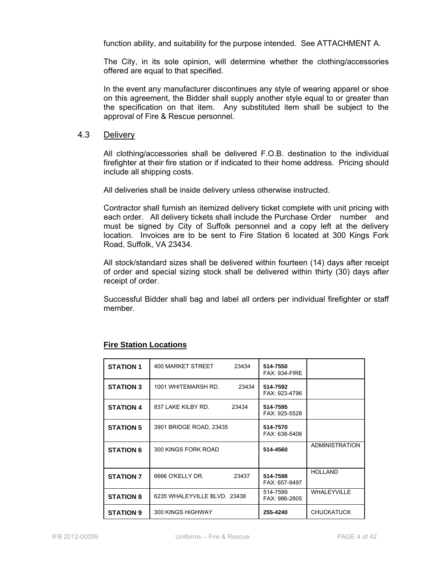function ability, and suitability for the purpose intended. See ATTACHMENT A.

The City, in its sole opinion, will determine whether the clothing/accessories offered are equal to that specified.

In the event any manufacturer discontinues any style of wearing apparel or shoe on this agreement, the Bidder shall supply another style equal to or greater than the specification on that item. Any substituted item shall be subject to the approval of Fire & Rescue personnel.

#### 4.3 Delivery

All clothing/accessories shall be delivered F.O.B. destination to the individual firefighter at their fire station or if indicated to their home address. Pricing should include all shipping costs.

All deliveries shall be inside delivery unless otherwise instructed.

Contractor shall furnish an itemized delivery ticket complete with unit pricing with each order. All delivery tickets shall include the Purchase Order number and must be signed by City of Suffolk personnel and a copy left at the delivery location. Invoices are to be sent to Fire Station 6 located at 300 Kings Fork Road, Suffolk, VA 23434.

All stock/standard sizes shall be delivered within fourteen (14) days after receipt of order and special sizing stock shall be delivered within thirty (30) days after receipt of order.

Successful Bidder shall bag and label all orders per individual firefighter or staff member.

| <b>STATION 1</b> | 400 MARKET STREET            | 23434 | 514-7550<br><b>FAX: 934-FIRE</b> |                       |
|------------------|------------------------------|-------|----------------------------------|-----------------------|
| <b>STATION 3</b> | 1001 WHITEMARSH RD.          | 23434 | 514-7592<br>FAX: 923-4796        |                       |
| <b>STATION 4</b> | 837 LAKE KILBY RD.           | 23434 | 514-7595<br>FAX: 925-5528        |                       |
| <b>STATION 5</b> | 3901 BRIDGE ROAD, 23435      |       | 514-7570<br>FAX: 638-5406        |                       |
| <b>STATION 6</b> | 300 KINGS FORK ROAD          |       | 514-4560                         | <b>ADMINISTRATION</b> |
| <b>STATION 7</b> | 6666 O'KELLY DR.             | 23437 | 514-7598<br>FAX: 657-9497        | <b>HOLLAND</b>        |
| <b>STATION 8</b> | 6235 WHALEYVILLE BLVD. 23438 |       | 514-7599<br>FAX: 986-2805        | <b>WHALEYVILLE</b>    |
| <b>STATION 9</b> | 300 KINGS HIGHWAY            |       | 255-4240                         | <b>CHUCKATUCK</b>     |

#### **Fire Station Locations**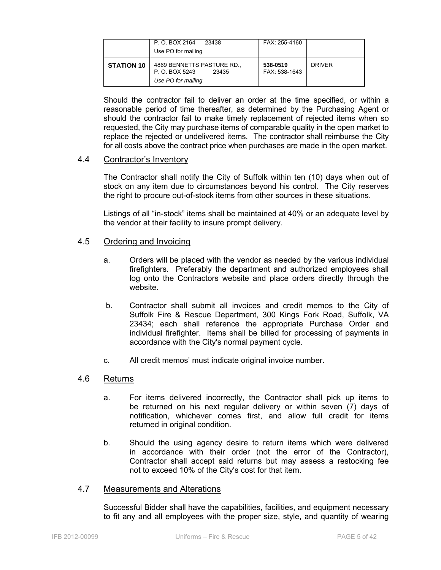|                   | P.O. BOX 2164<br>23438<br>Use PO for mailing                                | FAX: 255-4160             |               |
|-------------------|-----------------------------------------------------------------------------|---------------------------|---------------|
| <b>STATION 10</b> | 4869 BENNETTS PASTURE RD.,<br>P. O. BOX 5243<br>23435<br>Use PO for mailing | 538-0519<br>FAX: 538-1643 | <b>DRIVER</b> |

 Should the contractor fail to deliver an order at the time specified, or within a reasonable period of time thereafter, as determined by the Purchasing Agent or should the contractor fail to make timely replacement of rejected items when so requested, the City may purchase items of comparable quality in the open market to replace the rejected or undelivered items. The contractor shall reimburse the City for all costs above the contract price when purchases are made in the open market.

#### 4.4 Contractor's Inventory

The Contractor shall notify the City of Suffolk within ten (10) days when out of stock on any item due to circumstances beyond his control. The City reserves the right to procure out-of-stock items from other sources in these situations.

Listings of all "in-stock" items shall be maintained at 40% or an adequate level by the vendor at their facility to insure prompt delivery.

#### 4.5 Ordering and Invoicing

- a. Orders will be placed with the vendor as needed by the various individual firefighters. Preferably the department and authorized employees shall log onto the Contractors website and place orders directly through the website.
- b. Contractor shall submit all invoices and credit memos to the City of Suffolk Fire & Rescue Department, 300 Kings Fork Road, Suffolk, VA 23434; each shall reference the appropriate Purchase Order and individual firefighter. Items shall be billed for processing of payments in accordance with the City's normal payment cycle.
- c. All credit memos' must indicate original invoice number.

#### 4.6 Returns

- a. For items delivered incorrectly, the Contractor shall pick up items to be returned on his next regular delivery or within seven (7) days of notification, whichever comes first, and allow full credit for items returned in original condition.
- b. Should the using agency desire to return items which were delivered in accordance with their order (not the error of the Contractor), Contractor shall accept said returns but may assess a restocking fee not to exceed 10% of the City's cost for that item.

#### 4.7 Measurements and Alterations

Successful Bidder shall have the capabilities, facilities, and equipment necessary to fit any and all employees with the proper size, style, and quantity of wearing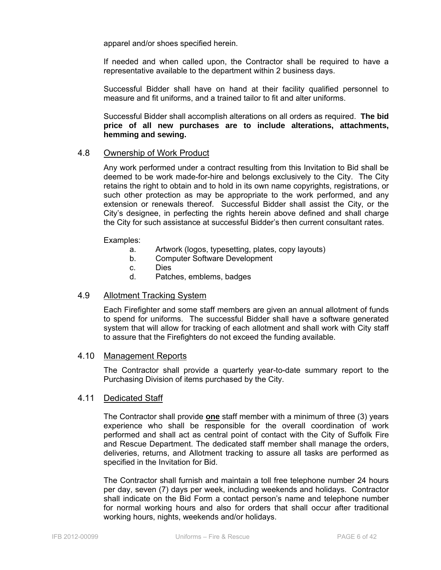apparel and/or shoes specified herein.

If needed and when called upon, the Contractor shall be required to have a representative available to the department within 2 business days.

Successful Bidder shall have on hand at their facility qualified personnel to measure and fit uniforms, and a trained tailor to fit and alter uniforms.

Successful Bidder shall accomplish alterations on all orders as required. **The bid price of all new purchases are to include alterations, attachments, hemming and sewing.** 

#### 4.8 Ownership of Work Product

Any work performed under a contract resulting from this Invitation to Bid shall be deemed to be work made-for-hire and belongs exclusively to the City. The City retains the right to obtain and to hold in its own name copyrights, registrations, or such other protection as may be appropriate to the work performed, and any extension or renewals thereof. Successful Bidder shall assist the City, or the City's designee, in perfecting the rights herein above defined and shall charge the City for such assistance at successful Bidder's then current consultant rates.

#### Examples:

- a. Artwork (logos, typesetting, plates, copy layouts)
- b. Computer Software Development
- c. Dies
- d. Patches, emblems, badges

#### 4.9 Allotment Tracking System

Each Firefighter and some staff members are given an annual allotment of funds to spend for uniforms. The successful Bidder shall have a software generated system that will allow for tracking of each allotment and shall work with City staff to assure that the Firefighters do not exceed the funding available.

#### 4.10 Management Reports

The Contractor shall provide a quarterly year-to-date summary report to the Purchasing Division of items purchased by the City.

#### 4.11 Dedicated Staff

The Contractor shall provide **one** staff member with a minimum of three (3) years experience who shall be responsible for the overall coordination of work performed and shall act as central point of contact with the City of Suffolk Fire and Rescue Department. The dedicated staff member shall manage the orders, deliveries, returns, and Allotment tracking to assure all tasks are performed as specified in the Invitation for Bid.

The Contractor shall furnish and maintain a toll free telephone number 24 hours per day, seven (7) days per week, including weekends and holidays. Contractor shall indicate on the Bid Form a contact person's name and telephone number for normal working hours and also for orders that shall occur after traditional working hours, nights, weekends and/or holidays.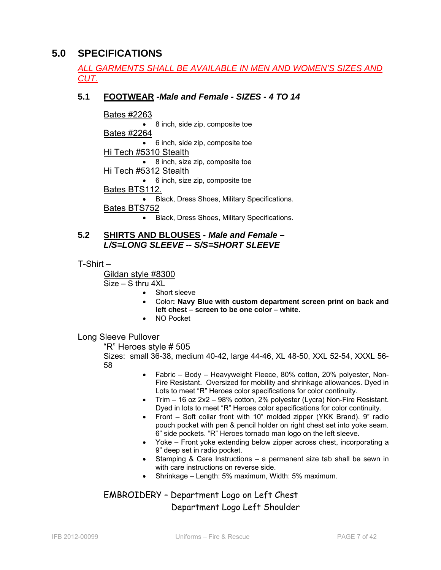# **5.0 SPECIFICATIONS**

# *ALL GARMENTS SHALL BE AVAILABLE IN MEN AND WOMEN'S SIZES AND CUT.*

# **5.1 FOOTWEAR -***Male and Female - SIZES - 4 TO 14*

#### Bates #2263

• 8 inch, side zip, composite toe Bates #2264 • 6 inch, side zip, composite toe Hi Tech #5310 Stealth • 8 inch, size zip, composite toe Hi Tech #5312 Stealth • 6 inch, size zip, composite toe Bates BTS112. • Black, Dress Shoes, Military Specifications. Bates BTS752

• Black, Dress Shoes, Military Specifications.

### **5.2 SHIRTS AND BLOUSES -** *Male and Female – L/S=LONG SLEEVE -- S/S=SHORT SLEEVE*

T-Shirt –

Gildan style #8300

 $Size - S$  thru  $4XI$ 

- Short sleeve
- Color**: Navy Blue with custom department screen print on back and left chest – screen to be one color – white.**
- NO Pocket

Long Sleeve Pullover

#### "R" Heroes style # 505

Sizes: small 36-38, medium 40-42, large 44-46, XL 48-50, XXL 52-54, XXXL 56- 58

- Fabric Body Heavyweight Fleece, 80% cotton, 20% polyester, Non-Fire Resistant. Oversized for mobility and shrinkage allowances. Dyed in Lots to meet "R" Heroes color specifications for color continuity.
- Trim 16 oz 2x2 98% cotton, 2% polyester (Lycra) Non-Fire Resistant. Dyed in lots to meet "R" Heroes color specifications for color continuity.
- Front Soft collar front with 10" molded zipper (YKK Brand). 9" radio pouch pocket with pen & pencil holder on right chest set into yoke seam. 6" side pockets. "R" Heroes tornado man logo on the left sleeve.
- Yoke Front yoke extending below zipper across chest, incorporating a 9" deep set in radio pocket.
- Stamping & Care Instructions a permanent size tab shall be sewn in with care instructions on reverse side.
- Shrinkage Length: 5% maximum, Width: 5% maximum.

# EMBROIDERY – Department Logo on Left Chest Department Logo Left Shoulder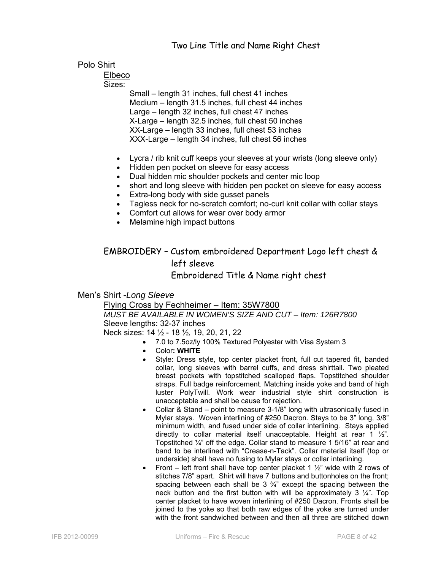# Polo Shirt

Elbeco

Sizes:

Small – length 31 inches, full chest 41 inches Medium – length 31.5 inches, full chest 44 inches Large – length 32 inches, full chest 47 inches X-Large – length 32.5 inches, full chest 50 inches XX-Large – length 33 inches, full chest 53 inches XXX-Large – length 34 inches, full chest 56 inches

- Lycra / rib knit cuff keeps your sleeves at your wrists (long sleeve only)
- Hidden pen pocket on sleeve for easy access
- Dual hidden mic shoulder pockets and center mic loop
- short and long sleeve with hidden pen pocket on sleeve for easy access
- Extra-long body with side gusset panels
- Tagless neck for no-scratch comfort; no-curl knit collar with collar stays
- Comfort cut allows for wear over body armor
- Melamine high impact buttons

# EMBROIDERY – Custom embroidered Department Logo left chest & left sleeve Embroidered Title & Name right chest

Men's Shirt -*Long Sleeve* 

Flying Cross by Fechheimer – Item: 35W7800 *MUST BE AVAILABLE IN WOMEN'S SIZE AND CUT – Item: 126R7800*  Sleeve lengths: 32-37 inches Neck sizes: 14 ½ - 18 ½, 19, 20, 21, 22

- 7.0 to 7.5oz/ly 100% Textured Polyester with Visa System 3
	- Color**: WHITE**
	- Style: Dress style, top center placket front, full cut tapered fit, banded collar, long sleeves with barrel cuffs, and dress shirttail. Two pleated breast pockets with topstitched scalloped flaps. Topstitched shoulder straps. Full badge reinforcement. Matching inside yoke and band of high luster PolyTwill. Work wear industrial style shirt construction is unacceptable and shall be cause for rejection.
	- Collar & Stand point to measure 3-1/8" long with ultrasonically fused in Mylar stays. Woven interlining of #250 Dacron. Stays to be 3" long, 3/8" minimum width, and fused under side of collar interlining. Stays applied directly to collar material itself unacceptable. Height at rear 1 ½". Topstitched ¼" off the edge. Collar stand to measure 1 5/16" at rear and band to be interlined with "Crease-n-Tack". Collar material itself (top or underside) shall have no fusing to Mylar stays or collar interlining.
	- Front left front shall have top center placket 1  $\frac{1}{2}$ " wide with 2 rows of stitches 7/8" apart. Shirt will have 7 buttons and buttonholes on the front; spacing between each shall be  $3\frac{3}{4}$  except the spacing between the neck button and the first button with will be approximately 3  $\frac{1}{4}$ . Top center placket to have woven interlining of #250 Dacron. Fronts shall be joined to the yoke so that both raw edges of the yoke are turned under with the front sandwiched between and then all three are stitched down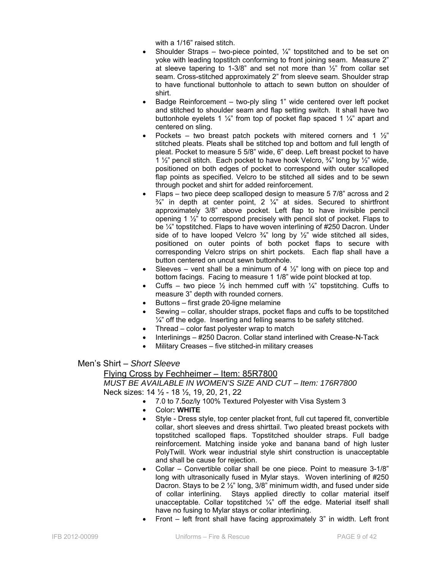with a 1/16" raised stitch.

- Shoulder Straps two-piece pointed,  $\frac{1}{4}$  topstitched and to be set on yoke with leading topstitch conforming to front joining seam. Measure 2" at sleeve tapering to 1-3/8" and set not more than  $\frac{1}{2}$ " from collar set seam. Cross-stitched approximately 2" from sleeve seam. Shoulder strap to have functional buttonhole to attach to sewn button on shoulder of shirt.
- Badge Reinforcement two-ply sling 1" wide centered over left pocket and stitched to shoulder seam and flap setting switch. It shall have two buttonhole eyelets 1  $\frac{1}{4}$ " from top of pocket flap spaced 1  $\frac{1}{4}$ " apart and centered on sling.
- Pockets two breast patch pockets with mitered corners and 1  $\frac{1}{2}$ " stitched pleats. Pleats shall be stitched top and bottom and full length of pleat. Pocket to measure 5 5/8" wide, 6" deep. Left breast pocket to have 1  $\frac{1}{2}$ " pencil stitch. Each pocket to have hook Velcro,  $\frac{3}{4}$ " long by  $\frac{1}{2}$ " wide, positioned on both edges of pocket to correspond with outer scalloped flap points as specified. Velcro to be stitched all sides and to be sewn through pocket and shirt for added reinforcement.
- Flaps two piece deep scalloped design to measure 5 7/8" across and 2  $\frac{3}{4}$ " in depth at center point, 2  $\frac{1}{4}$ " at sides. Secured to shirtfront approximately 3/8" above pocket. Left flap to have invisible pencil opening 1 ½" to correspond precisely with pencil slot of pocket. Flaps to be ¼" topstitched. Flaps to have woven interlining of #250 Dacron. Under side of to have looped Velcro  $\frac{3}{4}$ " long by  $\frac{1}{2}$ " wide stitched all sides, positioned on outer points of both pocket flaps to secure with corresponding Velcro strips on shirt pockets. Each flap shall have a button centered on uncut sewn buttonhole.
- Sleeves vent shall be a minimum of 4  $\frac{1}{2}$ " long with on piece top and bottom facings. Facing to measure 1 1/8" wide point blocked at top.
- Cuffs two piece  $\frac{1}{2}$  inch hemmed cuff with  $\frac{1}{4}$ " topstitching. Cuffs to measure 3" depth with rounded corners.
- Buttons first grade 20-ligne melamine
- Sewing collar, shoulder straps, pocket flaps and cuffs to be topstitched  $\frac{1}{4}$ " off the edge. Inserting and felling seams to be safety stitched.
- Thread color fast polyester wrap to match
- Interlinings #250 Dacron. Collar stand interlined with Crease-N-Tack
- Military Creases five stitched-in military creases

Men's Shirt – *Short Sleeve* 

Flying Cross by Fechheimer – Item: 85R7800 *MUST BE AVAILABLE IN WOMEN'S SIZE AND CUT – Item: 176R7800*  Neck sizes: 14 ½ - 18 ½, 19, 20, 21, 22

- 7.0 to 7.5oz/ly 100% Textured Polyester with Visa System 3
- Color**: WHITE**
- Style Dress style, top center placket front, full cut tapered fit, convertible collar, short sleeves and dress shirttail. Two pleated breast pockets with topstitched scalloped flaps. Topstitched shoulder straps. Full badge reinforcement. Matching inside yoke and banana band of high luster PolyTwill. Work wear industrial style shirt construction is unacceptable and shall be cause for rejection.
- Collar Convertible collar shall be one piece. Point to measure 3-1/8" long with ultrasonically fused in Mylar stays. Woven interlining of #250 Dacron. Stays to be 2 ½" long, 3/8" minimum width, and fused under side of collar interlining. Stays applied directly to collar material itself unacceptable. Collar topstitched  $\frac{1}{4}$ " off the edge. Material itself shall have no fusing to Mylar stays or collar interlining.
- Front left front shall have facing approximately 3" in width. Left front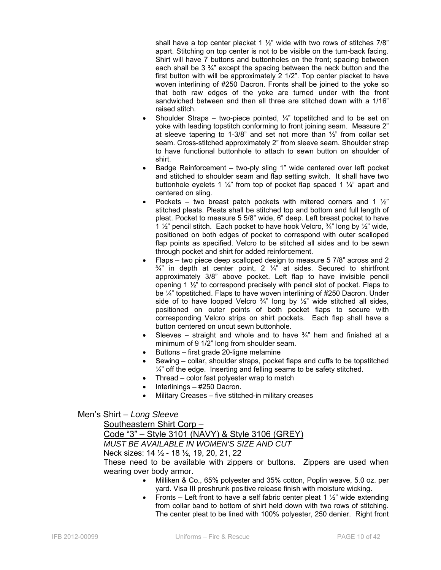shall have a top center placket 1  $\frac{1}{2}$ " wide with two rows of stitches 7/8" apart. Stitching on top center is not to be visible on the turn-back facing. Shirt will have 7 buttons and buttonholes on the front; spacing between each shall be  $3\frac{3}{4}$  except the spacing between the neck button and the first button with will be approximately 2 1/2". Top center placket to have woven interlining of #250 Dacron. Fronts shall be joined to the yoke so that both raw edges of the yoke are turned under with the front sandwiched between and then all three are stitched down with a 1/16" raised stitch.

- Shoulder Straps two-piece pointed,  $\frac{1}{4}$ " topstitched and to be set on yoke with leading topstitch conforming to front joining seam. Measure 2" at sleeve tapering to 1-3/8" and set not more than ½" from collar set seam. Cross-stitched approximately 2" from sleeve seam. Shoulder strap to have functional buttonhole to attach to sewn button on shoulder of shirt.
- Badge Reinforcement two-ply sling 1" wide centered over left pocket and stitched to shoulder seam and flap setting switch. It shall have two buttonhole eyelets 1  $\frac{1}{4}$ " from top of pocket flap spaced 1  $\frac{1}{4}$ " apart and centered on sling.
- Pockets two breast patch pockets with mitered corners and 1  $\frac{1}{2}$ " stitched pleats. Pleats shall be stitched top and bottom and full length of pleat. Pocket to measure 5 5/8" wide, 6" deep. Left breast pocket to have 1  $\frac{1}{2}$ " pencil stitch. Each pocket to have hook Velcro,  $\frac{3}{4}$ " long by  $\frac{1}{2}$ " wide, positioned on both edges of pocket to correspond with outer scalloped flap points as specified. Velcro to be stitched all sides and to be sewn through pocket and shirt for added reinforcement.
- Flaps two piece deep scalloped design to measure 5 7/8" across and 2  $\frac{3}{4}$ " in depth at center point, 2  $\frac{1}{4}$ " at sides. Secured to shirtfront approximately 3/8" above pocket. Left flap to have invisible pencil opening 1 ½" to correspond precisely with pencil slot of pocket. Flaps to be ¼" topstitched. Flaps to have woven interlining of #250 Dacron. Under side of to have looped Velcro  $\frac{3}{4}$ " long by  $\frac{1}{2}$ " wide stitched all sides, positioned on outer points of both pocket flaps to secure with corresponding Velcro strips on shirt pockets. Each flap shall have a button centered on uncut sewn buttonhole.
- Sleeves straight and whole and to have  $\frac{3}{4}$ " hem and finished at a minimum of 9 1/2" long from shoulder seam.
- Buttons first grade 20-ligne melamine
- Sewing collar, shoulder straps, pocket flaps and cuffs to be topstitched  $\frac{1}{4}$ " off the edge. Inserting and felling seams to be safety stitched.
- Thread color fast polyester wrap to match
- Interlinings #250 Dacron.
- Military Creases five stitched-in military creases

#### Men's Shirt – *Long Sleeve*

Southeastern Shirt Corp –

Code "3" – Style 3101 (NAVY) & Style 3106 (GREY) *MUST BE AVAILABLE IN WOMEN'S SIZE AND CUT*  Neck sizes: 14 ½ - 18 ½, 19, 20, 21, 22 These need to be available with zippers or buttons. Zippers are used when wearing over body armor.

- Milliken & Co., 65% polyester and 35% cotton, Poplin weave, 5.0 oz. per yard. Visa III preshrunk positive release finish with moisture wicking.
- Fronts Left front to have a self fabric center pleat 1  $\frac{1}{2}$ " wide extending from collar band to bottom of shirt held down with two rows of stitching. The center pleat to be lined with 100% polyester, 250 denier. Right front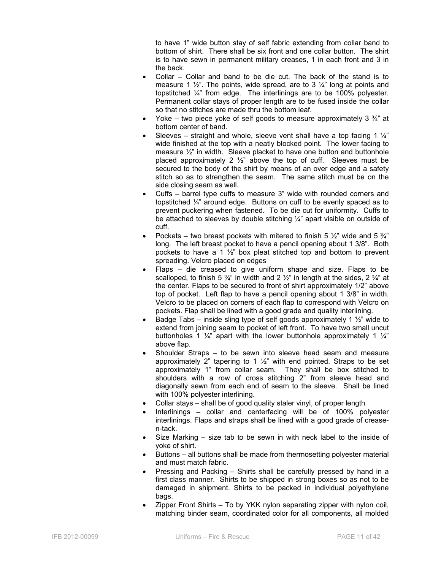to have 1" wide button stay of self fabric extending from collar band to bottom of shirt. There shall be six front and one collar button. The shirt is to have sewn in permanent military creases, 1 in each front and 3 in the back.

- Collar Collar and band to be die cut. The back of the stand is to measure 1  $\frac{1}{2}$ . The points, wide spread, are to 3  $\frac{1}{4}$  long at points and topstitched ¼" from edge. The interlinings are to be 100% polyester. Permanent collar stays of proper length are to be fused inside the collar so that no stitches are made thru the bottom leaf.
- Yoke two piece yoke of self goods to measure approximately 3  $\frac{3}{4}$  at bottom center of band.
- Sleeves straight and whole, sleeve vent shall have a top facing 1  $\frac{1}{4}$ " wide finished at the top with a neatly blocked point. The lower facing to measure ½" in width. Sleeve placket to have one button and buttonhole placed approximately 2  $\frac{1}{2}$  above the top of cuff. Sleeves must be secured to the body of the shirt by means of an over edge and a safety stitch so as to strengthen the seam. The same stitch must be on the side closing seam as well.
- Cuffs barrel type cuffs to measure 3" wide with rounded corners and topstitched ¼" around edge. Buttons on cuff to be evenly spaced as to prevent puckering when fastened. To be die cut for uniformity. Cuffs to be attached to sleeves by double stitching  $\frac{1}{4}$  apart visible on outside of cuff.
- Pockets two breast pockets with mitered to finish 5  $\frac{1}{2}$ " wide and 5  $\frac{3}{4}$ " long. The left breast pocket to have a pencil opening about 1 3/8". Both pockets to have a 1  $\frac{1}{2}$  box pleat stitched top and bottom to prevent spreading. Velcro placed on edges
- Flaps  $-$  die creased to give uniform shape and size. Flaps to be scalloped, to finish 5  $\frac{3}{4}$ " in width and 2  $\frac{1}{2}$ " in length at the sides, 2  $\frac{3}{4}$ " at the center. Flaps to be secured to front of shirt approximately 1/2" above top of pocket. Left flap to have a pencil opening about 1 3/8" in width. Velcro to be placed on corners of each flap to correspond with Velcro on pockets. Flap shall be lined with a good grade and quality interlining.
- Badge Tabs inside sling type of self goods approximately 1  $\frac{1}{2}$ " wide to extend from joining seam to pocket of left front. To have two small uncut buttonholes 1  $\frac{1}{4}$  apart with the lower buttonhole approximately 1  $\frac{1}{4}$ above flap.
- Shoulder Straps to be sewn into sleeve head seam and measure approximately 2" tapering to 1  $\frac{1}{2}$ " with end pointed. Straps to be set approximately 1" from collar seam. They shall be box stitched to shoulders with a row of cross stitching 2" from sleeve head and diagonally sewn from each end of seam to the sleeve. Shall be lined with 100% polyester interlining.
- Collar stays shall be of good quality staler vinyl, of proper length
- Interlinings collar and centerfacing will be of 100% polyester interlinings. Flaps and straps shall be lined with a good grade of creasen-tack.
- Size Marking size tab to be sewn in with neck label to the inside of yoke of shirt.
- Buttons all buttons shall be made from thermosetting polyester material and must match fabric.
- Pressing and Packing Shirts shall be carefully pressed by hand in a first class manner. Shirts to be shipped in strong boxes so as not to be damaged in shipment. Shirts to be packed in individual polyethylene bags.
- Zipper Front Shirts To by YKK nylon separating zipper with nylon coil, matching binder seam, coordinated color for all components, all molded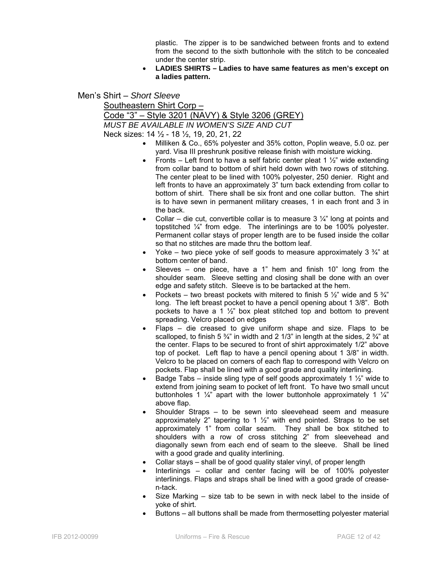plastic. The zipper is to be sandwiched between fronts and to extend from the second to the sixth buttonhole with the stitch to be concealed under the center strip.

• **LADIES SHIRTS – Ladies to have same features as men's except on a ladies pattern.** 

Men's Shirt – *Short Sleeve* 

Southeastern Shirt Corp –

Code "3" – Style 3201 (NAVY) & Style 3206 (GREY)

*MUST BE AVAILABLE IN WOMEN'S SIZE AND CUT* 

Neck sizes: 14 ½ - 18 ½, 19, 20, 21, 22

- Milliken & Co., 65% polyester and 35% cotton, Poplin weave, 5.0 oz. per yard. Visa III preshrunk positive release finish with moisture wicking.
- Fronts Left front to have a self fabric center pleat 1  $\frac{1}{2}$ " wide extending from collar band to bottom of shirt held down with two rows of stitching. The center pleat to be lined with 100% polyester, 250 denier. Right and left fronts to have an approximately 3" turn back extending from collar to bottom of shirt. There shall be six front and one collar button. The shirt is to have sewn in permanent military creases, 1 in each front and 3 in the back.
- Collar die cut, convertible collar is to measure  $3\frac{1}{4}$ " long at points and topstitched ¼" from edge. The interlinings are to be 100% polyester. Permanent collar stays of proper length are to be fused inside the collar so that no stitches are made thru the bottom leaf.
- Yoke two piece yoke of self goods to measure approximately 3  $\frac{3}{4}$ " at bottom center of band.
- Sleeves one piece, have a 1" hem and finish 10" long from the shoulder seam. Sleeve setting and closing shall be done with an over edge and safety stitch. Sleeve is to be bartacked at the hem.
- Pockets two breast pockets with mitered to finish 5  $\frac{1}{2}$ " wide and 5  $\frac{3}{4}$ " long. The left breast pocket to have a pencil opening about 1 3/8". Both pockets to have a 1  $\frac{1}{2}$  box pleat stitched top and bottom to prevent spreading. Velcro placed on edges
- Flaps die creased to give uniform shape and size. Flaps to be scalloped, to finish 5  $\frac{3}{4}$ " in width and 2 1/3" in length at the sides, 2  $\frac{3}{4}$ " at the center. Flaps to be secured to front of shirt approximately 1/2" above top of pocket. Left flap to have a pencil opening about 1 3/8" in width. Velcro to be placed on corners of each flap to correspond with Velcro on pockets. Flap shall be lined with a good grade and quality interlining.
- Badge Tabs inside sling type of self goods approximately 1  $\frac{1}{2}$ " wide to extend from joining seam to pocket of left front. To have two small uncut buttonholes 1  $\frac{1}{4}$  apart with the lower buttonhole approximately 1  $\frac{1}{4}$ above flap.
- Shoulder Straps to be sewn into sleevehead seem and measure approximately 2" tapering to 1  $\frac{1}{2}$ " with end pointed. Straps to be set approximately 1" from collar seam. They shall be box stitched to shoulders with a row of cross stitching 2" from sleevehead and diagonally sewn from each end of seam to the sleeve. Shall be lined with a good grade and quality interlining.
- Collar stays shall be of good quality staler vinyl, of proper length
- Interlinings collar and center facing will be of 100% polyester interlinings. Flaps and straps shall be lined with a good grade of creasen-tack.
- Size Marking  $-$  size tab to be sewn in with neck label to the inside of yoke of shirt.
- Buttons all buttons shall be made from thermosetting polyester material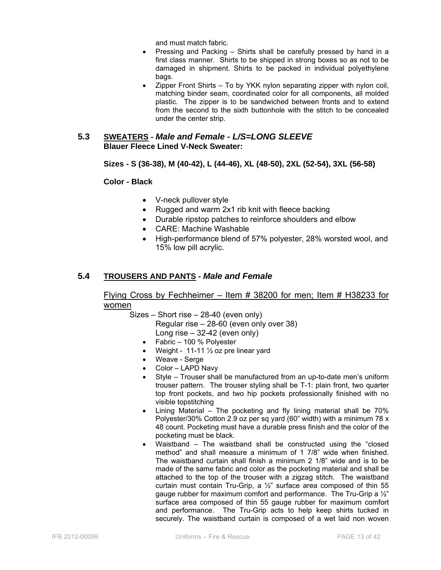and must match fabric.

- Pressing and Packing Shirts shall be carefully pressed by hand in a first class manner. Shirts to be shipped in strong boxes so as not to be damaged in shipment. Shirts to be packed in individual polyethylene bags.
- Zipper Front Shirts To by YKK nylon separating zipper with nylon coil, matching binder seam, coordinated color for all components, all molded plastic. The zipper is to be sandwiched between fronts and to extend from the second to the sixth buttonhole with the stitch to be concealed under the center strip.

#### **5.3 SWEATERS -** *Male and Female - L/S=LONG SLEEVE*  **Blauer Fleece Lined V-Neck Sweater:**

#### **Sizes - S (36-38), M (40-42), L (44-46), XL (48-50), 2XL (52-54), 3XL (56-58)**

**Color - Black**

- V-neck pullover style
- Rugged and warm 2x1 rib knit with fleece backing
- Durable ripstop patches to reinforce shoulders and elbow
- CARE: Machine Washable
- High-performance blend of 57% polyester, 28% worsted wool, and 15% low pill acrylic.

# **5.4 TROUSERS AND PANTS -** *Male and Female*

### Flying Cross by Fechheimer – Item # 38200 for men; Item # H38233 for women

Sizes – Short rise – 28-40 (even only)

Regular rise – 28-60 (even only over 38)

- Long rise 32-42 (even only)
- Fabric 100 % Polyester
- Weight 11-11  $\frac{1}{2}$  oz pre linear yard
- Weave Serge
- Color LAPD Navy
- Style Trouser shall be manufactured from an up-to-date men's uniform trouser pattern. The trouser styling shall be T-1: plain front, two quarter top front pockets, and two hip pockets professionally finished with no visible topstitching
- Lining Material The pocketing and fly lining material shall be 70% Polyester/30% Cotton 2.9 oz per sq yard (60" width) with a minimum 78 x 48 count. Pocketing must have a durable press finish and the color of the pocketing must be black.
- Waistband The waistband shall be constructed using the "closed method" and shall measure a minimum of 1 7/8" wide when finished. The waistband curtain shall finish a minimum 2 1/8" wide and is to be made of the same fabric and color as the pocketing material and shall be attached to the top of the trouser with a zigzag stitch. The waistband curtain must contain Tru-Grip, a ½" surface area composed of thin 55 gauge rubber for maximum comfort and performance. The Tru-Grip a ½" surface area composed of thin 55 gauge rubber for maximum comfort and performance. The Tru-Grip acts to help keep shirts tucked in securely. The waistband curtain is composed of a wet laid non woven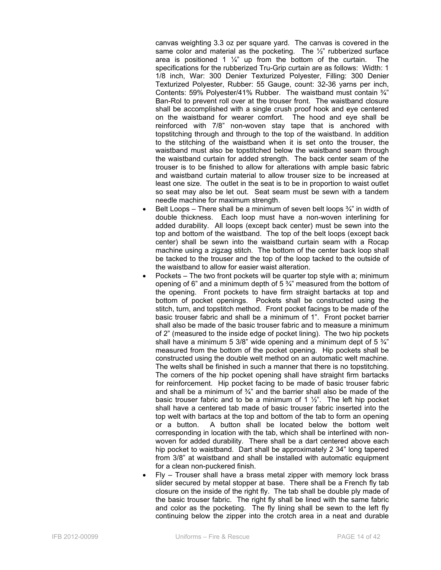canvas weighting 3.3 oz per square yard. The canvas is covered in the same color and material as the pocketing. The 1/2" rubberized surface area is positioned 1  $\frac{1}{4}$ " up from the bottom of the curtain. The specifications for the rubberized Tru-Grip curtain are as follows: Width: 1 1/8 inch, War: 300 Denier Texturized Polyester, Filling: 300 Denier Texturized Polyester, Rubber: 55 Gauge, count: 32-36 yarns per inch, Contents: 59% Polyester/41% Rubber. The waistband must contain ¾" Ban-Rol to prevent roll over at the trouser front. The waistband closure shall be accomplished with a single crush proof hook and eye centered on the waistband for wearer comfort. The hood and eye shall be reinforced with 7/8" non-woven stay tape that is anchored with topstitching through and through to the top of the waistband. In addition to the stitching of the waistband when it is set onto the trouser, the waistband must also be topstitched below the waistband seam through the waistband curtain for added strength. The back center seam of the trouser is to be finished to allow for alterations with ample basic fabric and waistband curtain material to allow trouser size to be increased at least one size. The outlet in the seat is to be in proportion to waist outlet so seat may also be let out. Seat seam must be sewn with a tandem needle machine for maximum strength.

- Belt Loops There shall be a minimum of seven belt loops  $\frac{3}{4}$ " in width of double thickness. Each loop must have a non-woven interlining for added durability. All loops (except back center) must be sewn into the top and bottom of the waistband. The top of the belt loops (except back center) shall be sewn into the waistband curtain seam with a Rocap machine using a zigzag stitch. The bottom of the center back loop shall be tacked to the trouser and the top of the loop tacked to the outside of the waistband to allow for easier waist alteration.
- Pockets The two front pockets will be quarter top style with a; minimum opening of 6" and a minimum depth of  $5\frac{3}{4}$ " measured from the bottom of the opening. Front pockets to have firm straight bartacks at top and bottom of pocket openings. Pockets shall be constructed using the stitch, turn, and topstitch method. Front pocket facings to be made of the basic trouser fabric and shall be a minimum of 1". Front pocket barrier shall also be made of the basic trouser fabric and to measure a minimum of 2" (measured to the inside edge of pocket lining). The two hip pockets shall have a minimum 5 3/8" wide opening and a minimum dept of 5  $\frac{3}{4}$ " measured from the bottom of the pocket opening. Hip pockets shall be constructed using the double welt method on an automatic welt machine. The welts shall be finished in such a manner that there is no topstitching. The corners of the hip pocket opening shall have straight firm bartacks for reinforcement. Hip pocket facing to be made of basic trouser fabric and shall be a minimum of  $\frac{3}{4}$ " and the barrier shall also be made of the basic trouser fabric and to be a minimum of 1  $\frac{1}{2}$ ". The left hip pocket shall have a centered tab made of basic trouser fabric inserted into the top welt with bartacs at the top and bottom of the tab to form an opening or a button. A button shall be located below the bottom welt corresponding in location with the tab, which shall be interlined with nonwoven for added durability. There shall be a dart centered above each hip pocket to waistband. Dart shall be approximately 2 34" long tapered from 3/8" at waistband and shall be installed with automatic equipment for a clean non-puckered finish.
- Fly Trouser shall have a brass metal zipper with memory lock brass slider secured by metal stopper at base. There shall be a French fly tab closure on the inside of the right fly. The tab shall be double ply made of the basic trouser fabric. The right fly shall be lined with the same fabric and color as the pocketing. The fly lining shall be sewn to the left fly continuing below the zipper into the crotch area in a neat and durable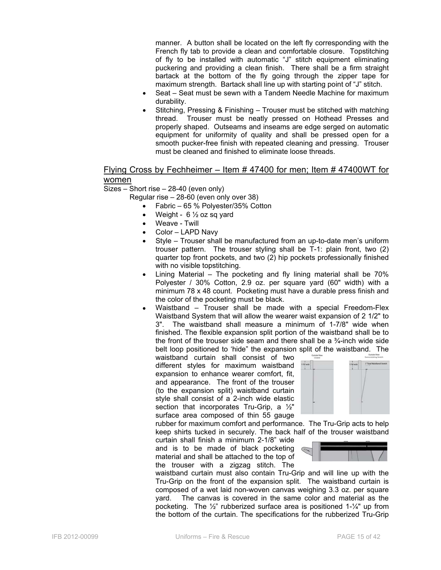manner. A button shall be located on the left fly corresponding with the French fly tab to provide a clean and comfortable closure. Topstitching of fly to be installed with automatic "J" stitch equipment eliminating puckering and providing a clean finish. There shall be a firm straight bartack at the bottom of the fly going through the zipper tape for maximum strength. Bartack shall line up with starting point of "J" stitch.

- Seat Seat must be sewn with a Tandem Needle Machine for maximum durability.
- Stitching, Pressing & Finishing Trouser must be stitched with matching thread. Trouser must be neatly pressed on Hothead Presses and properly shaped. Outseams and inseams are edge serged on automatic equipment for uniformity of quality and shall be pressed open for a smooth pucker-free finish with repeated cleaning and pressing. Trouser must be cleaned and finished to eliminate loose threads.

#### Flying Cross by Fechheimer – Item # 47400 for men; Item # 47400WT for women

Sizes – Short rise – 28-40 (even only)

Regular rise – 28-60 (even only over 38)

- Fabric 65 % Polyester/35% Cotton
- Weight  $6\frac{1}{2}$  oz sq yard
- Weave Twill
- Color LAPD Navy
- Style Trouser shall be manufactured from an up-to-date men's uniform trouser pattern. The trouser styling shall be T-1: plain front, two (2) quarter top front pockets, and two (2) hip pockets professionally finished with no visible topstitching.
- Lining Material The pocketing and fly lining material shall be 70% Polyester / 30% Cotton, 2.9 oz. per square yard (60" width) with a minimum 78 x 48 count. Pocketing must have a durable press finish and the color of the pocketing must be black.
- Waistband Trouser shall be made with a special Freedom-Flex Waistband System that will allow the wearer waist expansion of 2 1/2" to 3". The waistband shall measure a minimum of 1-7/8" wide when finished. The flexible expansion split portion of the waistband shall be to the front of the trouser side seam and there shall be a  $\frac{3}{4}$ -inch wide side belt loop positioned to 'hide" the expansion split of the waistband. The

waistband curtain shall consist of two different styles for maximum waistband expansion to enhance wearer comfort, fit, and appearance. The front of the trouser (to the expansion split) waistband curtain style shall consist of a 2-inch wide elastic section that incorporates Tru-Grip, a 1/2" surface area composed of thin 55 gauge



rubber for maximum comfort and performance. The Tru-Grip acts to help keep shirts tucked in securely. The back half of the trouser waistband

curtain shall finish a minimum 2-1/8" wide and is to be made of black pocketing material and shall be attached to the top of the trouser with a zigzag stitch. The



waistband curtain must also contain Tru-Grip and will line up with the Tru-Grip on the front of the expansion split. The waistband curtain is composed of a wet laid non-woven canvas weighing 3.3 oz. per square yard. The canvas is covered in the same color and material as the pocketing. The ½" rubberized surface area is positioned 1-¼" up from the bottom of the curtain. The specifications for the rubberized Tru-Grip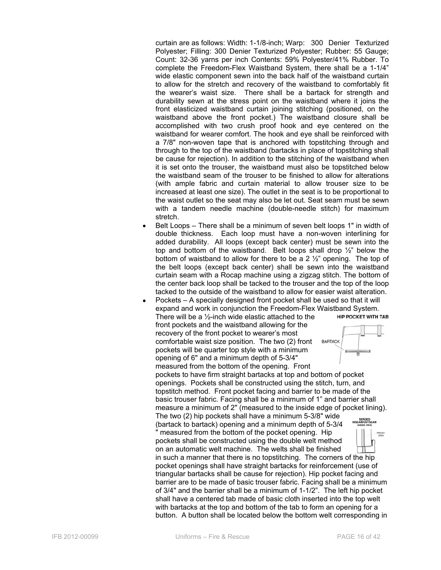curtain are as follows: Width: 1-1/8-inch; Warp: 300 Denier Texturized Polyester; Filling: 300 Denier Texturized Polyester; Rubber: 55 Gauge; Count: 32-36 yarns per inch Contents: 59% Polyester/41% Rubber. To complete the Freedom-Flex Waistband System, there shall be a 1-1/4" wide elastic component sewn into the back half of the waistband curtain to allow for the stretch and recovery of the waistband to comfortably fit the wearer's waist size. There shall be a bartack for strength and durability sewn at the stress point on the waistband where it joins the front elasticized waistband curtain joining stitching (positioned, on the waistband above the front pocket.) The waistband closure shall be accomplished with two crush proof hook and eye centered on the waistband for wearer comfort. The hook and eye shall be reinforced with a 7/8" non-woven tape that is anchored with topstitching through and through to the top of the waistband (bartacks in place of topstitching shall be cause for rejection). In addition to the stitching of the waistband when it is set onto the trouser, the waistband must also be topstitched below the waistband seam of the trouser to be finished to allow for alterations (with ample fabric and curtain material to allow trouser size to be increased at least one size). The outlet in the seat is to be proportional to the waist outlet so the seat may also be let out. Seat seam must be sewn with a tandem needle machine (double-needle stitch) for maximum stretch.

- Belt Loops There shall be a minimum of seven belt loops 1" in width of double thickness. Each loop must have a non-woven interlining for added durability. All loops (except back center) must be sewn into the top and bottom of the waistband. Belt loops shall drop ½" below the bottom of waistband to allow for there to be a 2  $\frac{1}{2}$ " opening. The top of the belt loops (except back center) shall be sewn into the waistband curtain seam with a Rocap machine using a zigzag stitch. The bottom of the center back loop shall be tacked to the trouser and the top of the loop tacked to the outside of the waistband to allow for easier waist alteration.
- Pockets A specially designed front pocket shall be used so that it will expand and work in conjunction the Freedom-Flex Waistband System.<br>There will be a 1/<sub>2</sub>-inch wide elastic attached to the **HILL HILL PROCKET WITH TAB** There will be a ½-inch wide elastic attached to the front pockets and the waistband allowing for the

recovery of the front pocket to wearer's most comfortable waist size position. The two (2) front pockets will be quarter top style with a minimum opening of 6" and a minimum depth of 5-3/4" measured from the bottom of the opening. Front



pockets to have firm straight bartacks at top and bottom of pocket openings. Pockets shall be constructed using the stitch, turn, and topstitch method. Front pocket facing and barrier to be made of the basic trouser fabric. Facing shall be a minimum of 1" and barrier shall measure a minimum of 2" (measured to the inside edge of pocket lining). The two (2) hip pockets shall have a minimum 5-3/8" wide

(bartack to bartack) opening and a minimum depth of 5-3/4 measured from the bottom of the pocket opening. Hip PRESSED pockets shall be constructed using the double welt method on an automatic welt machine. The welts shall be finished in such a manner that there is no topstitching. The corners of the hip pocket openings shall have straight bartacks for reinforcement (use of triangular bartacks shall be cause for rejection). Hip pocket facing and barrier are to be made of basic trouser fabric. Facing shall be a minimum of 3/4" and the barrier shall be a minimum of 1-1/2". The left hip pocket shall have a centered tab made of basic cloth inserted into the top welt with bartacks at the top and bottom of the tab to form an opening for a button. A button shall be located below the bottom welt corresponding in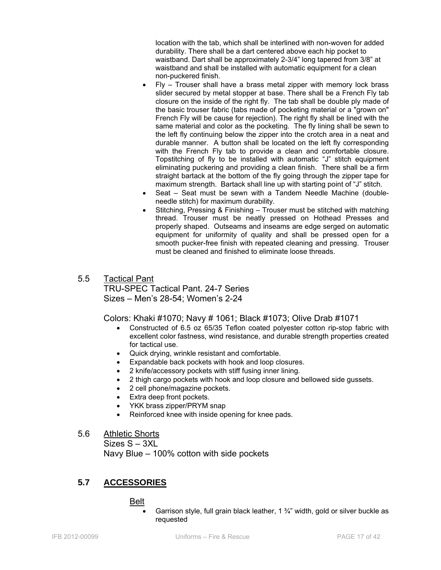location with the tab, which shall be interlined with non-woven for added durability. There shall be a dart centered above each hip pocket to waistband. Dart shall be approximately 2-3/4" long tapered from 3/8" at waistband and shall be installed with automatic equipment for a clean non-puckered finish.

- Fly Trouser shall have a brass metal zipper with memory lock brass slider secured by metal stopper at base. There shall be a French Fly tab closure on the inside of the right fly. The tab shall be double ply made of the basic trouser fabric (tabs made of pocketing material or a "grown on" French Fly will be cause for rejection). The right fly shall be lined with the same material and color as the pocketing. The fly lining shall be sewn to the left fly continuing below the zipper into the crotch area in a neat and durable manner. A button shall be located on the left fly corresponding with the French Fly tab to provide a clean and comfortable closure. Topstitching of fly to be installed with automatic "J" stitch equipment eliminating puckering and providing a clean finish. There shall be a firm straight bartack at the bottom of the fly going through the zipper tape for maximum strength. Bartack shall line up with starting point of "J" stitch.
- Seat Seat must be sewn with a Tandem Needle Machine (doubleneedle stitch) for maximum durability.
- Stitching, Pressing & Finishing Trouser must be stitched with matching thread. Trouser must be neatly pressed on Hothead Presses and properly shaped. Outseams and inseams are edge serged on automatic equipment for uniformity of quality and shall be pressed open for a smooth pucker-free finish with repeated cleaning and pressing. Trouser must be cleaned and finished to eliminate loose threads.
- 5.5 Tactical Pant TRU-SPEC Tactical Pant. 24-7 Series Sizes – Men's 28-54; Women's 2-24

Colors: Khaki #1070; Navy # 1061; Black #1073; Olive Drab #1071

- Constructed of 6.5 oz 65/35 Teflon coated polyester cotton rip-stop fabric with excellent color fastness, wind resistance, and durable strength properties created for tactical use.
- Quick drying, wrinkle resistant and comfortable.
- Expandable back pockets with hook and loop closures.
- 2 knife/accessory pockets with stiff fusing inner lining.
- 2 thigh cargo pockets with hook and loop closure and bellowed side gussets.
- 2 cell phone/magazine pockets.
- Extra deep front pockets.
- YKK brass zipper/PRYM snap
- Reinforced knee with inside opening for knee pads.
- 5.6 Athletic Shorts

Sizes S – 3XL

Navy Blue – 100% cotton with side pockets

# **5.7 ACCESSORIES**

#### Belt

• Garrison style, full grain black leather, 1 ¾" width, gold or silver buckle as requested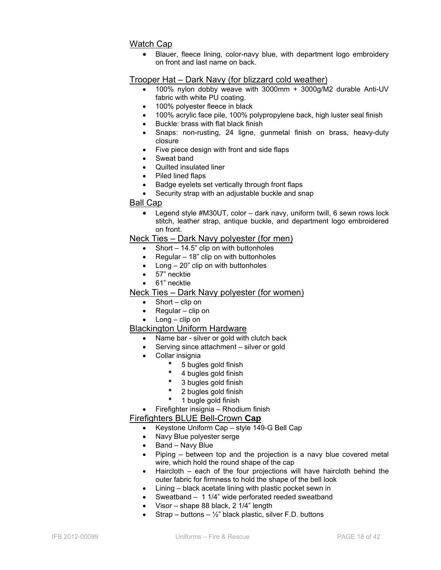# Watch Cap

• Blauer, fleece lining, color-navy blue, with department logo embroidery on front and last name on back.

# Trooper Hat – Dark Navy (for blizzard cold weather)

- 100% nylon dobby weave with 3000mm + 3000g/M2 durable Anti-UV fabric with white PU coating.
- 100% polyester fleece in black
- 100% acrylic face pile, 100% polypropylene back, high luster seal finish
- Buckle: brass with flat black finish
- Snaps: non-rusting, 24 ligne, gunmetal finish on brass, heavy-duty closure
- Five piece design with front and side flaps
- Sweat band
- Quilted insulated liner
- Piled lined flaps
- Badge eyelets set vertically through front flaps
- Security strap with an adjustable buckle and snap

#### Ball Cap

• Legend style #M30UT, color – dark navy, uniform twill, 6 sewn rows lock stitch, leather strap, antique buckle, and department logo embroidered on front.

#### Neck Ties – Dark Navy polyester (for men)

- Short  $-$  14.5" clip on with buttonholes
- Regular 18" clip on with buttonholes
- Long 20" clip on with buttonholes
- 57" necktie
- 61" necktie

#### Neck Ties – Dark Navy polyester (for women)

- Short clip on
- Regular clip on
- Long clip on

#### Blackington Uniform Hardware

- Name bar silver or gold with clutch back
- Serving since attachment silver or gold
- Collar insignia
	- \* 5 bugles gold finish
	- 4 bugles gold finish
	- 3 bugles gold finish
	- 2 bugles gold finish
	- 1 bugle gold finish
- Firefighter insignia Rhodium finish

#### Firefighters BLUE Bell-Crown **Cap**

- Keystone Uniform Cap style 149-G Bell Cap
- Navy Blue polyester serge
- Band Navy Blue
- Piping between top and the projection is a navy blue covered metal wire, which hold the round shape of the cap
- Haircloth each of the four projections will have haircloth behind the outer fabric for firmness to hold the shape of the bell look
- Lining black acetate lining with plastic pocket sewn in
- Sweatband 1 1/4" wide perforated reeded sweatband
- Visor shape 88 black, 2 1/4" length
- Strap buttons  $\frac{1}{2}$ " black plastic, silver F.D. buttons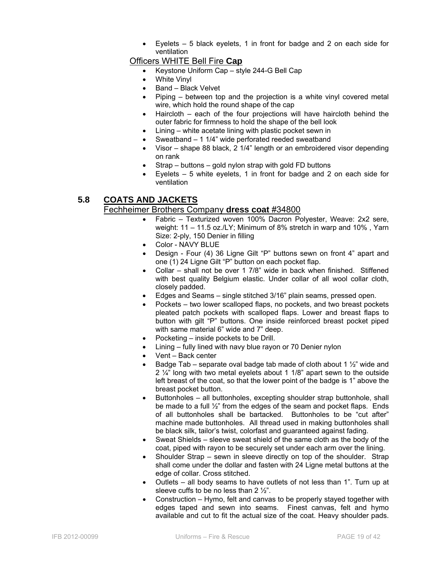Eyelets  $-5$  black eyelets, 1 in front for badge and 2 on each side for ventilation

### Officers WHITE Bell Fire **Cap**

- Keystone Uniform Cap style 244-G Bell Cap
- White Vinyl
- Band Black Velvet
- Piping between top and the projection is a white vinyl covered metal wire, which hold the round shape of the cap
- Haircloth each of the four projections will have haircloth behind the outer fabric for firmness to hold the shape of the bell look
- Lining white acetate lining with plastic pocket sewn in
- Sweatband 1 1/4" wide perforated reeded sweatband
- Visor shape 88 black, 2 1/4" length or an embroidered visor depending on rank
- Strap buttons gold nylon strap with gold FD buttons
- Eyelets  $-5$  white eyelets, 1 in front for badge and 2 on each side for ventilation

# **5.8 COATS AND JACKETS**

#### Fechheimer Brothers Company **dress coat** #34800

- Fabric Texturized woven 100% Dacron Polyester, Weave: 2x2 sere, weight: 11 – 11.5 oz./LY; Minimum of 8% stretch in warp and 10% , Yarn Size: 2-ply, 150 Denier in filling
- Color NAVY BLUE
- Design Four (4) 36 Ligne Gilt "P" buttons sewn on front 4" apart and one (1) 24 Ligne Gilt "P" button on each pocket flap.
- Collar shall not be over 1 7/8" wide in back when finished. Stiffened with best quality Belgium elastic. Under collar of all wool collar cloth, closely padded.
- Edges and Seams single stitched 3/16" plain seams, pressed open.
- Pockets two lower scalloped flaps, no pockets, and two breast pockets pleated patch pockets with scalloped flaps. Lower and breast flaps to button with gilt "P" buttons. One inside reinforced breast pocket piped with same material 6" wide and 7" deep.
- Pocketing inside pockets to be Drill.
- Lining fully lined with navy blue rayon or 70 Denier nylon
- Vent Back center
- Badge Tab separate oval badge tab made of cloth about 1  $\frac{1}{2}$ " wide and 2 ¼" long with two metal eyelets about 1 1/8" apart sewn to the outside left breast of the coat, so that the lower point of the badge is 1" above the breast pocket button.
- Buttonholes all buttonholes, excepting shoulder strap buttonhole, shall be made to a full ½" from the edges of the seam and pocket flaps. Ends of all buttonholes shall be bartacked. Buttonholes to be "cut after" machine made buttonholes. All thread used in making buttonholes shall be black silk, tailor's twist, colorfast and guaranteed against fading.
- Sweat Shields sleeve sweat shield of the same cloth as the body of the coat, piped with rayon to be securely set under each arm over the lining.
- Shoulder Strap sewn in sleeve directly on top of the shoulder. Strap shall come under the dollar and fasten with 24 Ligne metal buttons at the edge of collar. Cross stitched.
- Outlets all body seams to have outlets of not less than 1". Turn up at sleeve cuffs to be no less than 2 ½".
- Construction Hymo, felt and canvas to be properly stayed together with edges taped and sewn into seams. Finest canvas, felt and hymo available and cut to fit the actual size of the coat. Heavy shoulder pads.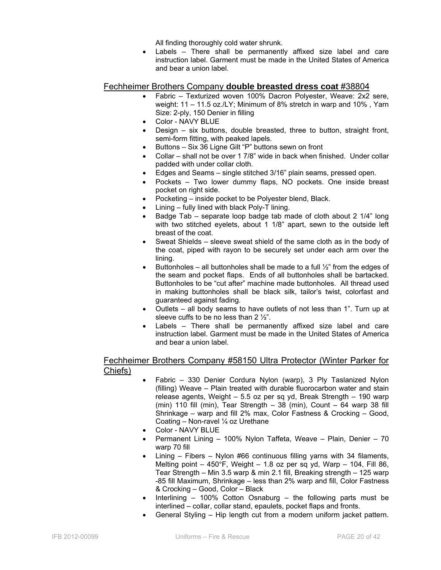All finding thoroughly cold water shrunk.

Labels – There shall be permanently affixed size label and care instruction label. Garment must be made in the United States of America and bear a union label.

### Fechheimer Brothers Company **double breasted dress coat** #38804

- Fabric Texturized woven 100% Dacron Polyester, Weave: 2x2 sere, weight: 11 – 11.5 oz./LY; Minimum of 8% stretch in warp and 10% , Yarn Size: 2-ply, 150 Denier in filling
- Color NAVY BLUE
- Design six buttons, double breasted, three to button, straight front, semi-form fitting, with peaked lapels.
- Buttons Six 36 Ligne Gilt "P" buttons sewn on front
- Collar shall not be over 1 7/8" wide in back when finished. Under collar padded with under collar cloth.
- Edges and Seams single stitched 3/16" plain seams, pressed open.
- Pockets Two lower dummy flaps, NO pockets. One inside breast pocket on right side.
- Pocketing inside pocket to be Polyester blend, Black.
- Lining fully lined with black Poly-T lining.
- Badge Tab separate loop badge tab made of cloth about 2 1/4" long with two stitched eyelets, about 1 1/8" apart, sewn to the outside left breast of the coat.
- Sweat Shields sleeve sweat shield of the same cloth as in the body of the coat, piped with rayon to be securely set under each arm over the lining.
- Buttonholes all buttonholes shall be made to a full  $\frac{1}{2}$ " from the edges of the seam and pocket flaps. Ends of all buttonholes shall be bartacked. Buttonholes to be "cut after" machine made buttonholes. All thread used in making buttonholes shall be black silk, tailor's twist, colorfast and guaranteed against fading.
- Outlets all body seams to have outlets of not less than 1". Turn up at sleeve cuffs to be no less than 2 ½".
- Labels There shall be permanently affixed size label and care instruction label. Garment must be made in the United States of America and bear a union label.

#### Fechheimer Brothers Company #58150 Ultra Protector (Winter Parker for Chiefs)

- Fabric 330 Denier Cordura Nylon (warp), 3 Ply Taslanized Nylon (filling) Weave – Plain treated with durable fluorocarbon water and stain release agents, Weight – 5.5 oz per sq yd, Break Strength – 190 warp (min) 110 fill (min), Tear Strength  $-38$  (min), Count  $-64$  warp 38 fill Shrinkage – warp and fill 2% max, Color Fastness & Crocking – Good, Coating – Non-ravel ¼ oz Urethane
- Color NAVY BLUE
- Permanent Lining 100% Nylon Taffeta, Weave Plain, Denier 70 warp 70 fill
- Lining Fibers Nylon #66 continuous filling yarns with 34 filaments, Melting point  $-450^{\circ}$ F, Weight  $-1.8$  oz per sq yd, Warp  $-104$ , Fill 86, Tear Strength – Min 3.5 warp & min 2.1 fill, Breaking strength – 125 warp -85 fill Maximum, Shrinkage – less than 2% warp and fill, Color Fastness & Crocking – Good, Color – Black
- Interlining 100% Cotton Osnaburg the following parts must be interlined – collar, collar stand, epaulets, pocket flaps and fronts.
- General Styling Hip length cut from a modern uniform jacket pattern.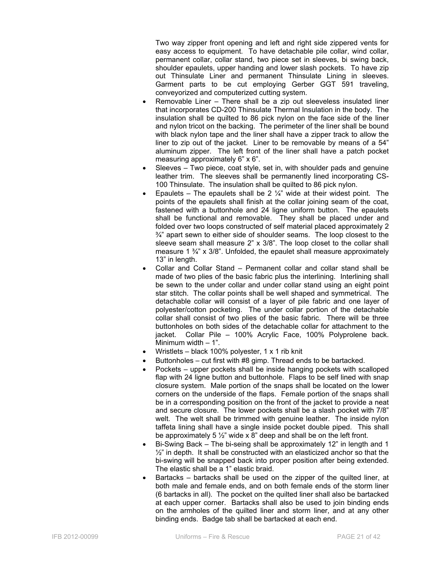Two way zipper front opening and left and right side zippered vents for easy access to equipment. To have detachable pile collar, wind collar, permanent collar, collar stand, two piece set in sleeves, bi swing back, shoulder epaulets, upper handing and lower slash pockets. To have zip out Thinsulate Liner and permanent Thinsulate Lining in sleeves. Garment parts to be cut employing Gerber GGT 591 traveling, conveyorized and computerized cutting system.

- Removable Liner There shall be a zip out sleeveless insulated liner that incorporates CD-200 Thinsulate Thermal Insulation in the body. The insulation shall be quilted to 86 pick nylon on the face side of the liner and nylon tricot on the backing. The perimeter of the liner shall be bound with black nylon tape and the liner shall have a zipper track to allow the liner to zip out of the jacket. Liner to be removable by means of a 54" aluminum zipper. The left front of the liner shall have a patch pocket measuring approximately 6" x 6".
- Sleeves Two piece, coat style, set in, with shoulder pads and genuine leather trim. The sleeves shall be permanently lined incorporating CS-100 Thinsulate. The insulation shall be quilted to 86 pick nylon.
- Epaulets The epaulets shall be 2  $\frac{1}{4}$ " wide at their widest point. The points of the epaulets shall finish at the collar joining seam of the coat, fastened with a buttonhole and 24 ligne uniform button. The epaulets shall be functional and removable. They shall be placed under and folded over two loops constructed of self material placed approximately 2  $\frac{3}{4}$ " apart sewn to either side of shoulder seams. The loop closest to the sleeve seam shall measure 2" x 3/8". The loop closet to the collar shall measure 1  $\frac{3}{4}$  x 3/8". Unfolded, the epaulet shall measure approximately 13" in length.
- Collar and Collar Stand Permanent collar and collar stand shall be made of two plies of the basic fabric plus the interlining. Interlining shall be sewn to the under collar and under collar stand using an eight point star stitch. The collar points shall be well shaped and symmetrical. The detachable collar will consist of a layer of pile fabric and one layer of polyester/cotton pocketing. The under collar portion of the detachable collar shall consist of two plies of the basic fabric. There will be three buttonholes on both sides of the detachable collar for attachment to the jacket. Collar Pile – 100% Acrylic Face, 100% Polyprolene back. Minimum width – 1".
- Wristlets black 100% polyester, 1  $\times$  1 rib knit
- Buttonholes cut first with #8 gimp. Thread ends to be bartacked.
- Pockets upper pockets shall be inside hanging pockets with scalloped flap with 24 ligne button and buttonhole. Flaps to be self lined with snap closure system. Male portion of the snaps shall be located on the lower corners on the underside of the flaps. Female portion of the snaps shall be in a corresponding position on the front of the jacket to provide a neat and secure closure. The lower pockets shall be a slash pocket with 7/8" welt. The welt shall be trimmed with genuine leather. The inside nylon taffeta lining shall have a single inside pocket double piped. This shall be approximately 5 ½" wide x 8" deep and shall be on the left front.
- Bi-Swing Back The bi-seing shall be approximately 12" in length and 1  $\frac{1}{2}$ " in depth. It shall be constructed with an elasticized anchor so that the bi-swing will be snapped back into proper position after being extended. The elastic shall be a 1" elastic braid.
- Bartacks bartacks shall be used on the zipper of the quilted liner, at both male and female ends, and on both female ends of the storm liner (6 bartacks in all). The pocket on the quilted liner shall also be bartacked at each upper corner. Bartacks shall also be used to join binding ends on the armholes of the quilted liner and storm liner, and at any other binding ends. Badge tab shall be bartacked at each end.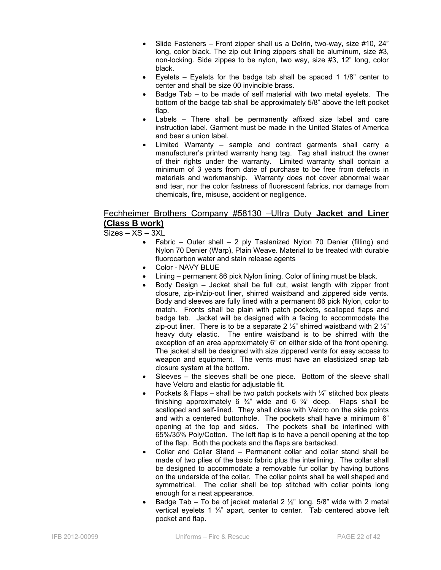- Slide Fasteners Front zipper shall us a Delrin, two-way, size #10, 24" long, color black. The zip out lining zippers shall be aluminum, size #3, non-locking. Side zippes to be nylon, two way, size #3, 12" long, color black.
- Eyelets Eyelets for the badge tab shall be spaced 1  $1/8$ " center to center and shall be size 00 invincible brass.
- Badge Tab to be made of self material with two metal eyelets. The bottom of the badge tab shall be approximately 5/8" above the left pocket flap.
- Labels There shall be permanently affixed size label and care instruction label. Garment must be made in the United States of America and bear a union label.
- Limited Warranty sample and contract garments shall carry a manufacturer's printed warranty hang tag. Tag shall instruct the owner of their rights under the warranty. Limited warranty shall contain a minimum of 3 years from date of purchase to be free from defects in materials and workmanship. Warranty does not cover abnormal wear and tear, nor the color fastness of fluorescent fabrics, nor damage from chemicals, fire, misuse, accident or negligence.

# Fechheimer Brothers Company #58130 –Ultra Duty **Jacket and Liner (Class B work)**

Sizes – XS – 3XL

- Fabric Outer shell 2 ply Taslanized Nylon 70 Denier (filling) and Nylon 70 Denier (Warp), Plain Weave. Material to be treated with durable fluorocarbon water and stain release agents
- Color NAVY BLUE
- Lining permanent 86 pick Nylon lining. Color of lining must be black.
- Body Design Jacket shall be full cut, waist length with zipper front closure, zip-in/zip-out liner, shirred waistband and zippered side vents. Body and sleeves are fully lined with a permanent 86 pick Nylon, color to match. Fronts shall be plain with patch pockets, scalloped flaps and badge tab. Jacket will be designed with a facing to accommodate the zip-out liner. There is to be a separate 2  $\frac{1}{2}$ " shirred waistband with 2  $\frac{1}{2}$ " heavy duty elastic. The entire waistband is to be shirred with the exception of an area approximately 6" on either side of the front opening. The jacket shall be designed with size zippered vents for easy access to weapon and equipment. The vents must have an elasticized snap tab closure system at the bottom.
- Sleeves the sleeves shall be one piece. Bottom of the sleeve shall have Velcro and elastic for adjustable fit.
- Pockets & Flaps shall be two patch pockets with  $\frac{1}{4}$ " stitched box pleats finishing approximately 6  $\frac{3}{4}$ " wide and 6  $\frac{3}{4}$ " deep. Flaps shall be scalloped and self-lined. They shall close with Velcro on the side points and with a centered buttonhole. The pockets shall have a minimum 6" opening at the top and sides. The pockets shall be interlined with 65%/35% Poly/Cotton. The left flap is to have a pencil opening at the top of the flap. Both the pockets and the flaps are bartacked.
- Collar and Collar Stand Permanent collar and collar stand shall be made of two plies of the basic fabric plus the interlining. The collar shall be designed to accommodate a removable fur collar by having buttons on the underside of the collar. The collar points shall be well shaped and symmetrical. The collar shall be top stitched with collar points long enough for a neat appearance.
- Badge Tab To be of jacket material 2  $\frac{1}{2}$ " long, 5/8" wide with 2 metal vertical eyelets 1 ¼" apart, center to center. Tab centered above left pocket and flap.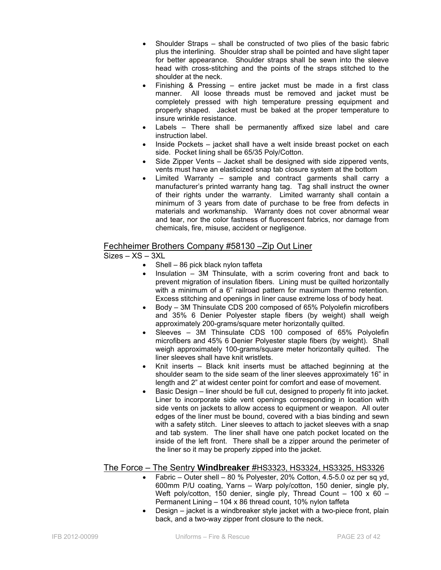- Shoulder Straps shall be constructed of two plies of the basic fabric plus the interlining. Shoulder strap shall be pointed and have slight taper for better appearance. Shoulder straps shall be sewn into the sleeve head with cross-stitching and the points of the straps stitched to the shoulder at the neck.
- Finishing & Pressing entire jacket must be made in a first class manner. All loose threads must be removed and jacket must be completely pressed with high temperature pressing equipment and properly shaped. Jacket must be baked at the proper temperature to insure wrinkle resistance.
- Labels There shall be permanently affixed size label and care instruction label.
- Inside Pockets jacket shall have a welt inside breast pocket on each side. Pocket lining shall be 65/35 Poly/Cotton.
- Side Zipper Vents Jacket shall be designed with side zippered vents, vents must have an elasticized snap tab closure system at the bottom
- Limited Warranty sample and contract garments shall carry a manufacturer's printed warranty hang tag. Tag shall instruct the owner of their rights under the warranty. Limited warranty shall contain a minimum of 3 years from date of purchase to be free from defects in materials and workmanship. Warranty does not cover abnormal wear and tear, nor the color fastness of fluorescent fabrics, nor damage from chemicals, fire, misuse, accident or negligence.

# Fechheimer Brothers Company #58130 –Zip Out Liner

$$
Sizes - XS - 3XL
$$

- Shell 86 pick black nylon taffeta
- Insulation 3M Thinsulate, with a scrim covering front and back to prevent migration of insulation fibers. Lining must be quilted horizontally with a minimum of a 6" railroad pattern for maximum thermo retention. Excess stitching and openings in liner cause extreme loss of body heat.
- Body 3M Thinsulate CDS 200 composed of 65% Polyolefin microfibers and 35% 6 Denier Polyester staple fibers (by weight) shall weigh approximately 200-grams/square meter horizontally quilted.
- Sleeves 3M Thinsulate CDS 100 composed of 65% Polyolefin microfibers and 45% 6 Denier Polyester staple fibers (by weight). Shall weigh approximately 100-grams/square meter horizontally quilted. The liner sleeves shall have knit wristlets.
- Knit inserts Black knit inserts must be attached beginning at the shoulder seam to the side seam of the liner sleeves approximately 16" in length and 2" at widest center point for comfort and ease of movement.
- Basic Design liner should be full cut, designed to properly fit into jacket. Liner to incorporate side vent openings corresponding in location with side vents on jackets to allow access to equipment or weapon. All outer edges of the liner must be bound, covered with a bias binding and sewn with a safety stitch. Liner sleeves to attach to jacket sleeves with a snap and tab system. The liner shall have one patch pocket located on the inside of the left front. There shall be a zipper around the perimeter of the liner so it may be properly zipped into the jacket.

# The Force – The Sentry **Windbreaker** #HS3323, HS3324, HS3325, HS3326

- Fabric Outer shell 80 % Polyester, 20% Cotton, 4.5-5.0 oz per sq yd, 600mm P/U coating, Yarns – Warp poly/cotton, 150 denier, single ply, Weft poly/cotton, 150 denier, single ply, Thread Count - 100 x 60 -Permanent Lining – 104 x 86 thread count, 10% nylon taffeta
- Design jacket is a windbreaker style jacket with a two-piece front, plain back, and a two-way zipper front closure to the neck.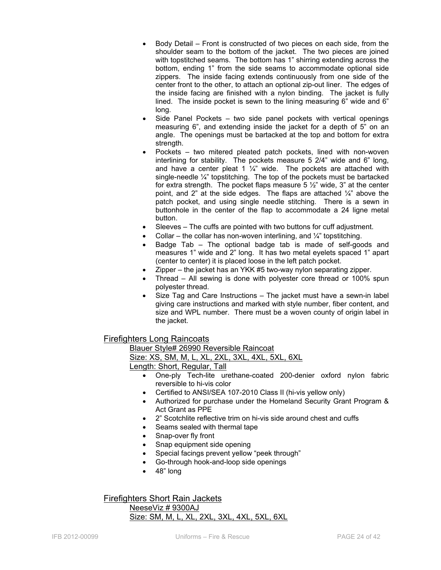- Body Detail Front is constructed of two pieces on each side, from the shoulder seam to the bottom of the jacket. The two pieces are joined with topstitched seams. The bottom has 1" shirring extending across the bottom, ending 1" from the side seams to accommodate optional side zippers. The inside facing extends continuously from one side of the center front to the other, to attach an optional zip-out liner. The edges of the inside facing are finished with a nylon binding. The jacket is fully lined. The inside pocket is sewn to the lining measuring 6" wide and 6" long.
- Side Panel Pockets two side panel pockets with vertical openings measuring 6", and extending inside the jacket for a depth of 5" on an angle. The openings must be bartacked at the top and bottom for extra strength.
- Pockets two mitered pleated patch pockets, lined with non-woven interlining for stability. The pockets measure 5 2/4" wide and 6" long, and have a center pleat 1  $\frac{1}{4}$ " wide. The pockets are attached with single-needle  $\frac{1}{4}$ " topstitching. The top of the pockets must be bartacked for extra strength. The pocket flaps measure 5  $\frac{1}{2}$ " wide, 3" at the center point, and 2" at the side edges. The flaps are attached  $\frac{1}{4}$ " above the patch pocket, and using single needle stitching. There is a sewn in buttonhole in the center of the flap to accommodate a 24 ligne metal button.
- Sleeves The cuffs are pointed with two buttons for cuff adjustment.
- Collar the collar has non-woven interlining, and  $\frac{1}{4}$ " topstitching.
- Badge Tab The optional badge tab is made of self-goods and measures 1" wide and 2" long. It has two metal eyelets spaced 1" apart (center to center) it is placed loose in the left patch pocket.
- Zipper the jacket has an YKK #5 two-way nylon separating zipper.
- Thread All sewing is done with polyester core thread or 100% spun polyester thread.
- Size Tag and Care Instructions The jacket must have a sewn-in label giving care instructions and marked with style number, fiber content, and size and WPL number. There must be a woven county of origin label in the jacket.

# Firefighters Long Raincoats

 Blauer Style# 26990 Reversible Raincoat Size: XS, SM, M, L, XL, 2XL, 3XL, 4XL, 5XL, 6XL Length: Short, Regular, Tall

- One-ply Tech-lite urethane-coated 200-denier oxford nylon fabric reversible to hi-vis color
- Certified to ANSI/SEA 107-2010 Class II (hi-vis yellow only)
- Authorized for purchase under the Homeland Security Grant Program & Act Grant as PPE
- 2" Scotchlite reflective trim on hi-vis side around chest and cuffs
- Seams sealed with thermal tape
- Snap-over fly front
- Snap equipment side opening
- Special facings prevent yellow "peek through"
- Go-through hook-and-loop side openings
- 48" long

Firefighters Short Rain Jackets NeeseViz # 9300AJ Size: SM, M, L, XL, 2XL, 3XL, 4XL, 5XL, 6XL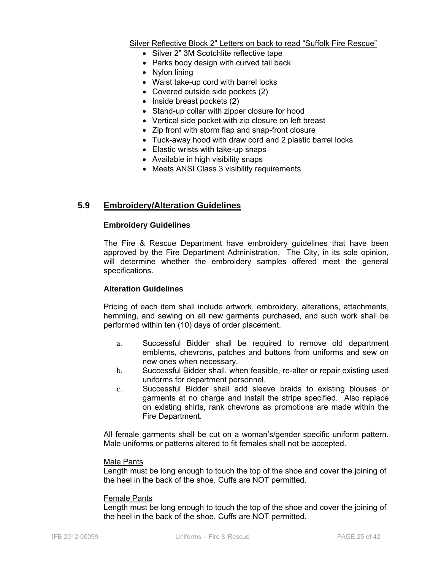Silver Reflective Block 2" Letters on back to read "Suffolk Fire Rescue"

- Silver 2" 3M Scotchlite reflective tape
- Parks body design with curved tail back
- Nylon lining
- Waist take-up cord with barrel locks
- Covered outside side pockets (2)
- Inside breast pockets (2)
- Stand-up collar with zipper closure for hood
- Vertical side pocket with zip closure on left breast
- Zip front with storm flap and snap-front closure
- Tuck-away hood with draw cord and 2 plastic barrel locks
- Elastic wrists with take-up snaps
- Available in high visibility snaps
- Meets ANSI Class 3 visibility requirements

# **5.9 Embroidery/Alteration Guidelines**

#### **Embroidery Guidelines**

The Fire & Rescue Department have embroidery guidelines that have been approved by the Fire Department Administration. The City, in its sole opinion, will determine whether the embroidery samples offered meet the general specifications.

#### **Alteration Guidelines**

Pricing of each item shall include artwork, embroidery, alterations, attachments, hemming, and sewing on all new garments purchased, and such work shall be performed within ten (10) days of order placement.

- a. Successful Bidder shall be required to remove old department emblems, chevrons, patches and buttons from uniforms and sew on new ones when necessary.
- b. Successful Bidder shall, when feasible, re-alter or repair existing used uniforms for department personnel.
- c. Successful Bidder shall add sleeve braids to existing blouses or garments at no charge and install the stripe specified. Also replace on existing shirts, rank chevrons as promotions are made within the Fire Department.

All female garments shall be cut on a woman's/gender specific uniform pattern. Male uniforms or patterns altered to fit females shall not be accepted.

#### Male Pants

Length must be long enough to touch the top of the shoe and cover the joining of the heel in the back of the shoe. Cuffs are NOT permitted.

#### Female Pants

Length must be long enough to touch the top of the shoe and cover the joining of the heel in the back of the shoe. Cuffs are NOT permitted.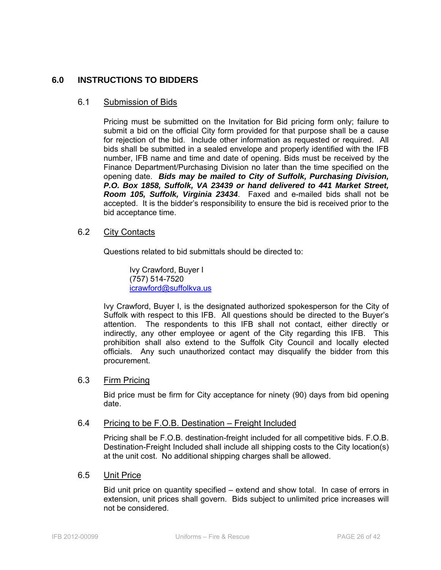# **6.0 INSTRUCTIONS TO BIDDERS**

#### 6.1 Submission of Bids

Pricing must be submitted on the Invitation for Bid pricing form only; failure to submit a bid on the official City form provided for that purpose shall be a cause for rejection of the bid. Include other information as requested or required. All bids shall be submitted in a sealed envelope and properly identified with the IFB number, IFB name and time and date of opening. Bids must be received by the Finance Department/Purchasing Division no later than the time specified on the opening date. *Bids may be mailed to City of Suffolk, Purchasing Division, P.O. Box 1858, Suffolk, VA 23439 or hand delivered to 441 Market Street, Room 105, Suffolk, Virginia 23434*. Faxed and e-mailed bids shall not be accepted. It is the bidder's responsibility to ensure the bid is received prior to the bid acceptance time.

#### 6.2 City Contacts

Questions related to bid submittals should be directed to:

 Ivy Crawford, Buyer I (757) 514-7520 icrawford@suffolkva.us

Ivy Crawford, Buyer I, is the designated authorized spokesperson for the City of Suffolk with respect to this IFB. All questions should be directed to the Buyer's attention. The respondents to this IFB shall not contact, either directly or indirectly, any other employee or agent of the City regarding this IFB. This prohibition shall also extend to the Suffolk City Council and locally elected officials. Any such unauthorized contact may disqualify the bidder from this procurement.

# 6.3 Firm Pricing

Bid price must be firm for City acceptance for ninety (90) days from bid opening date.

#### 6.4 Pricing to be F.O.B. Destination – Freight Included

Pricing shall be F.O.B. destination-freight included for all competitive bids. F.O.B. Destination-Freight Included shall include all shipping costs to the City location(s) at the unit cost. No additional shipping charges shall be allowed.

#### 6.5 Unit Price

Bid unit price on quantity specified – extend and show total. In case of errors in extension, unit prices shall govern. Bids subject to unlimited price increases will not be considered.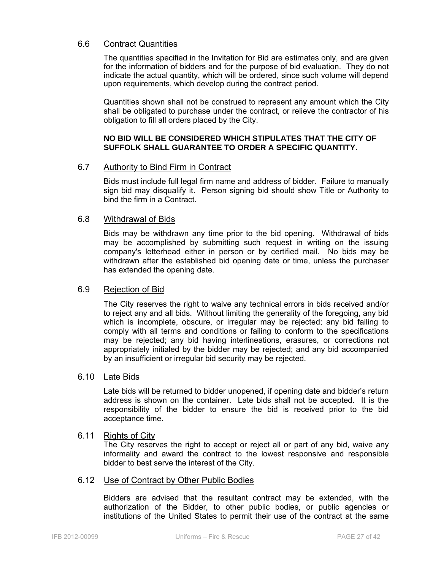### 6.6 Contract Quantities

The quantities specified in the Invitation for Bid are estimates only, and are given for the information of bidders and for the purpose of bid evaluation. They do not indicate the actual quantity, which will be ordered, since such volume will depend upon requirements, which develop during the contract period.

Quantities shown shall not be construed to represent any amount which the City shall be obligated to purchase under the contract, or relieve the contractor of his obligation to fill all orders placed by the City.

#### **NO BID WILL BE CONSIDERED WHICH STIPULATES THAT THE CITY OF SUFFOLK SHALL GUARANTEE TO ORDER A SPECIFIC QUANTITY.**

### 6.7 Authority to Bind Firm in Contract

Bids must include full legal firm name and address of bidder. Failure to manually sign bid may disqualify it. Person signing bid should show Title or Authority to bind the firm in a Contract.

#### 6.8 Withdrawal of Bids

Bids may be withdrawn any time prior to the bid opening. Withdrawal of bids may be accomplished by submitting such request in writing on the issuing company's letterhead either in person or by certified mail. No bids may be withdrawn after the established bid opening date or time, unless the purchaser has extended the opening date.

#### 6.9 Rejection of Bid

The City reserves the right to waive any technical errors in bids received and/or to reject any and all bids. Without limiting the generality of the foregoing, any bid which is incomplete, obscure, or irregular may be rejected; any bid failing to comply with all terms and conditions or failing to conform to the specifications may be rejected; any bid having interlineations, erasures, or corrections not appropriately initialed by the bidder may be rejected; and any bid accompanied by an insufficient or irregular bid security may be rejected.

#### 6.10 Late Bids

Late bids will be returned to bidder unopened, if opening date and bidder's return address is shown on the container. Late bids shall not be accepted. It is the responsibility of the bidder to ensure the bid is received prior to the bid acceptance time.

#### 6.11 Rights of City

The City reserves the right to accept or reject all or part of any bid, waive any informality and award the contract to the lowest responsive and responsible bidder to best serve the interest of the City.

#### 6.12 Use of Contract by Other Public Bodies

Bidders are advised that the resultant contract may be extended, with the authorization of the Bidder, to other public bodies, or public agencies or institutions of the United States to permit their use of the contract at the same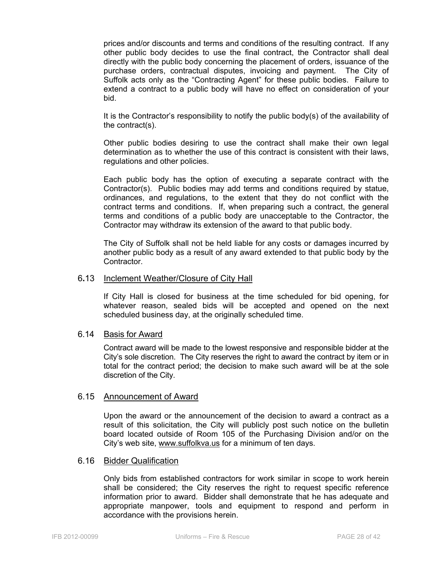prices and/or discounts and terms and conditions of the resulting contract. If any other public body decides to use the final contract, the Contractor shall deal directly with the public body concerning the placement of orders, issuance of the purchase orders, contractual disputes, invoicing and payment. The City of Suffolk acts only as the "Contracting Agent" for these public bodies. Failure to extend a contract to a public body will have no effect on consideration of your bid.

It is the Contractor's responsibility to notify the public body(s) of the availability of the contract(s).

Other public bodies desiring to use the contract shall make their own legal determination as to whether the use of this contract is consistent with their laws, regulations and other policies.

Each public body has the option of executing a separate contract with the Contractor(s). Public bodies may add terms and conditions required by statue, ordinances, and regulations, to the extent that they do not conflict with the contract terms and conditions. If, when preparing such a contract, the general terms and conditions of a public body are unacceptable to the Contractor, the Contractor may withdraw its extension of the award to that public body.

The City of Suffolk shall not be held liable for any costs or damages incurred by another public body as a result of any award extended to that public body by the Contractor.

#### 6**.**13 Inclement Weather/Closure of City Hall

If City Hall is closed for business at the time scheduled for bid opening, for whatever reason, sealed bids will be accepted and opened on the next scheduled business day, at the originally scheduled time.

#### 6.14 Basis for Award

Contract award will be made to the lowest responsive and responsible bidder at the City's sole discretion. The City reserves the right to award the contract by item or in total for the contract period; the decision to make such award will be at the sole discretion of the City.

#### 6.15 Announcement of Award

Upon the award or the announcement of the decision to award a contract as a result of this solicitation, the City will publicly post such notice on the bulletin board located outside of Room 105 of the Purchasing Division and/or on the City's web site, www.suffolkva.us for a minimum of ten days.

#### 6.16 Bidder Qualification

Only bids from established contractors for work similar in scope to work herein shall be considered; the City reserves the right to request specific reference information prior to award. Bidder shall demonstrate that he has adequate and appropriate manpower, tools and equipment to respond and perform in accordance with the provisions herein.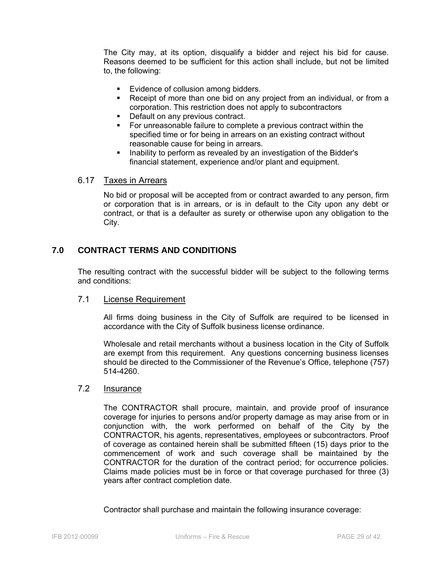The City may, at its option, disqualify a bidder and reject his bid for cause. Reasons deemed to be sufficient for this action shall include, but not be limited to, the following:

- **Evidence of collusion among bidders.**
- Receipt of more than one bid on any project from an individual, or from a corporation. This restriction does not apply to subcontractors
- Default on any previous contract.
- For unreasonable failure to complete a previous contract within the specified time or for being in arrears on an existing contract without reasonable cause for being in arrears.
- Inability to perform as revealed by an investigation of the Bidder's financial statement, experience and/or plant and equipment.

#### 6.17 Taxes in Arrears

No bid or proposal will be accepted from or contract awarded to any person, firm or corporation that is in arrears, or is in default to the City upon any debt or contract, or that is a defaulter as surety or otherwise upon any obligation to the City.

# **7.0 CONTRACT TERMS AND CONDITIONS**

The resulting contract with the successful bidder will be subject to the following terms and conditions:

#### 7.1 License Requirement

All firms doing business in the City of Suffolk are required to be licensed in accordance with the City of Suffolk business license ordinance.

Wholesale and retail merchants without a business location in the City of Suffolk are exempt from this requirement. Any questions concerning business licenses should be directed to the Commissioner of the Revenue's Office, telephone (757) 514-4260.

#### 7.2 Insurance

The CONTRACTOR shall procure, maintain, and provide proof of insurance coverage for injuries to persons and/or property damage as may arise from or in conjunction with, the work performed on behalf of the City by the CONTRACTOR, his agents, representatives, employees or subcontractors. Proof of coverage as contained herein shall be submitted fifteen (15) days prior to the commencement of work and such coverage shall be maintained by the CONTRACTOR for the duration of the contract period; for occurrence policies. Claims made policies must be in force or that coverage purchased for three (3) years after contract completion date.

Contractor shall purchase and maintain the following insurance coverage: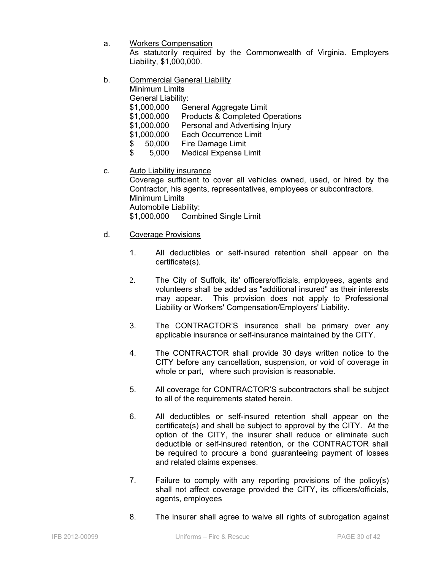- a. Workers Compensation As statutorily required by the Commonwealth of Virginia. Employers Liability, \$1,000,000.
- b. Commercial General Liability

Minimum Limits

General Liability:

- \$1,000,000 General Aggregate Limit
- \$1,000,000 Products & Completed Operations
- \$1,000,000 Personal and Advertising Injury
- \$1,000,000 Each Occurrence Limit
- \$ 50,000 Fire Damage Limit
- \$ 5,000 Medical Expense Limit
- c. Auto Liability insurance

Coverage sufficient to cover all vehicles owned, used, or hired by the Contractor, his agents, representatives, employees or subcontractors. Minimum Limits Automobile Liability: \$1,000,000 Combined Single Limit

- d. Coverage Provisions
	- 1. All deductibles or self-insured retention shall appear on the certificate(s).
	- 2. The City of Suffolk, its' officers/officials, employees, agents and volunteers shall be added as "additional insured" as their interests may appear. This provision does not apply to Professional Liability or Workers' Compensation/Employers' Liability.
	- 3. The CONTRACTOR'S insurance shall be primary over any applicable insurance or self-insurance maintained by the CITY.
	- 4. The CONTRACTOR shall provide 30 days written notice to the CITY before any cancellation, suspension, or void of coverage in whole or part, where such provision is reasonable.
	- 5. All coverage for CONTRACTOR'S subcontractors shall be subject to all of the requirements stated herein.
	- 6. All deductibles or self-insured retention shall appear on the certificate(s) and shall be subject to approval by the CITY. At the option of the CITY, the insurer shall reduce or eliminate such deductible or self-insured retention, or the CONTRACTOR shall be required to procure a bond guaranteeing payment of losses and related claims expenses.
	- 7. Failure to comply with any reporting provisions of the policy(s) shall not affect coverage provided the CITY, its officers/officials, agents, employees
	- 8. The insurer shall agree to waive all rights of subrogation against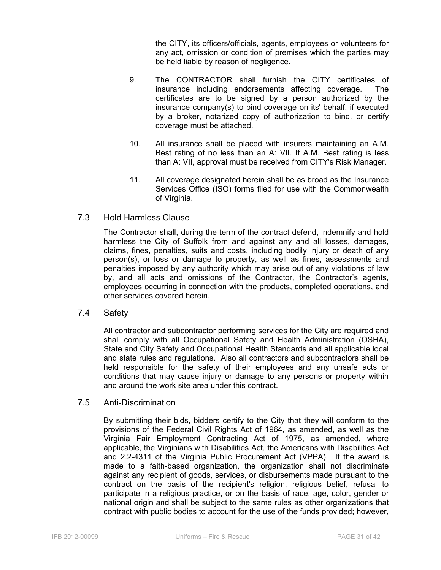the CITY, its officers/officials, agents, employees or volunteers for any act, omission or condition of premises which the parties may be held liable by reason of negligence.

- 9. The CONTRACTOR shall furnish the CITY certificates of insurance including endorsements affecting coverage. The certificates are to be signed by a person authorized by the insurance company(s) to bind coverage on its' behalf, if executed by a broker, notarized copy of authorization to bind, or certify coverage must be attached.
- 10. All insurance shall be placed with insurers maintaining an A.M. Best rating of no less than an A: VII. If A.M. Best rating is less than A: VII, approval must be received from CITY's Risk Manager.
- 11. All coverage designated herein shall be as broad as the Insurance Services Office (ISO) forms filed for use with the Commonwealth of Virginia.

#### 7.3 Hold Harmless Clause

The Contractor shall, during the term of the contract defend, indemnify and hold harmless the City of Suffolk from and against any and all losses, damages, claims, fines, penalties, suits and costs, including bodily injury or death of any person(s), or loss or damage to property, as well as fines, assessments and penalties imposed by any authority which may arise out of any violations of law by, and all acts and omissions of the Contractor, the Contractor's agents, employees occurring in connection with the products, completed operations, and other services covered herein.

#### 7.4 Safety

All contractor and subcontractor performing services for the City are required and shall comply with all Occupational Safety and Health Administration (OSHA), State and City Safety and Occupational Health Standards and all applicable local and state rules and regulations. Also all contractors and subcontractors shall be held responsible for the safety of their employees and any unsafe acts or conditions that may cause injury or damage to any persons or property within and around the work site area under this contract.

#### 7.5 Anti-Discrimination

By submitting their bids, bidders certify to the City that they will conform to the provisions of the Federal Civil Rights Act of 1964, as amended, as well as the Virginia Fair Employment Contracting Act of 1975, as amended, where applicable, the Virginians with Disabilities Act, the Americans with Disabilities Act and 2.2-4311 of the Virginia Public Procurement Act (VPPA). If the award is made to a faith-based organization, the organization shall not discriminate against any recipient of goods, services, or disbursements made pursuant to the contract on the basis of the recipient's religion, religious belief, refusal to participate in a religious practice, or on the basis of race, age, color, gender or national origin and shall be subject to the same rules as other organizations that contract with public bodies to account for the use of the funds provided; however,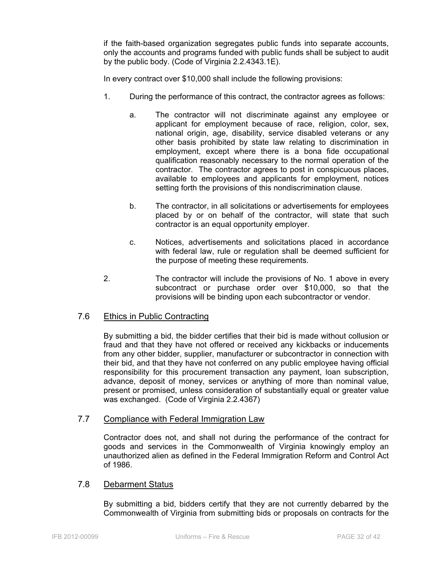if the faith-based organization segregates public funds into separate accounts, only the accounts and programs funded with public funds shall be subject to audit by the public body. (Code of Virginia 2.2.4343.1E).

In every contract over \$10,000 shall include the following provisions:

- 1. During the performance of this contract, the contractor agrees as follows:
	- a. The contractor will not discriminate against any employee or applicant for employment because of race, religion, color, sex, national origin, age, disability, service disabled veterans or any other basis prohibited by state law relating to discrimination in employment, except where there is a bona fide occupational qualification reasonably necessary to the normal operation of the contractor. The contractor agrees to post in conspicuous places, available to employees and applicants for employment, notices setting forth the provisions of this nondiscrimination clause.
	- b. The contractor, in all solicitations or advertisements for employees placed by or on behalf of the contractor, will state that such contractor is an equal opportunity employer.
	- c. Notices, advertisements and solicitations placed in accordance with federal law, rule or regulation shall be deemed sufficient for the purpose of meeting these requirements.
- 2. The contractor will include the provisions of No. 1 above in every subcontract or purchase order over \$10,000, so that the provisions will be binding upon each subcontractor or vendor.

#### 7.6 Ethics in Public Contracting

By submitting a bid, the bidder certifies that their bid is made without collusion or fraud and that they have not offered or received any kickbacks or inducements from any other bidder, supplier, manufacturer or subcontractor in connection with their bid, and that they have not conferred on any public employee having official responsibility for this procurement transaction any payment, loan subscription, advance, deposit of money, services or anything of more than nominal value, present or promised, unless consideration of substantially equal or greater value was exchanged. (Code of Virginia 2.2.4367)

#### 7.7 Compliance with Federal Immigration Law

Contractor does not, and shall not during the performance of the contract for goods and services in the Commonwealth of Virginia knowingly employ an unauthorized alien as defined in the Federal Immigration Reform and Control Act of 1986.

#### 7.8 Debarment Status

By submitting a bid, bidders certify that they are not currently debarred by the Commonwealth of Virginia from submitting bids or proposals on contracts for the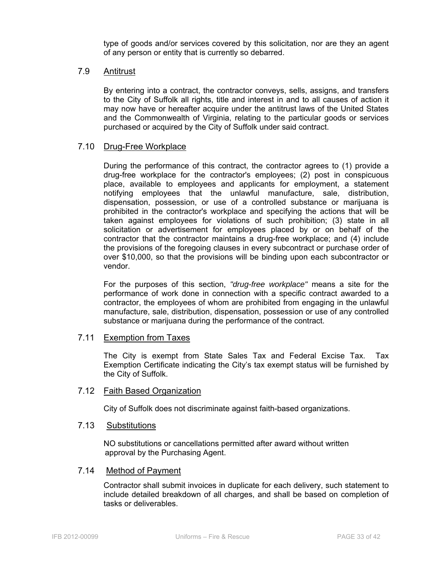type of goods and/or services covered by this solicitation, nor are they an agent of any person or entity that is currently so debarred.

#### 7.9 Antitrust

By entering into a contract, the contractor conveys, sells, assigns, and transfers to the City of Suffolk all rights, title and interest in and to all causes of action it may now have or hereafter acquire under the antitrust laws of the United States and the Commonwealth of Virginia, relating to the particular goods or services purchased or acquired by the City of Suffolk under said contract.

#### 7.10 Drug-Free Workplace

During the performance of this contract, the contractor agrees to (1) provide a drug-free workplace for the contractor's employees; (2) post in conspicuous place, available to employees and applicants for employment, a statement notifying employees that the unlawful manufacture, sale, distribution, dispensation, possession, or use of a controlled substance or marijuana is prohibited in the contractor's workplace and specifying the actions that will be taken against employees for violations of such prohibition; (3) state in all solicitation or advertisement for employees placed by or on behalf of the contractor that the contractor maintains a drug-free workplace; and (4) include the provisions of the foregoing clauses in every subcontract or purchase order of over \$10,000, so that the provisions will be binding upon each subcontractor or vendor.

For the purposes of this section, *"drug-free workplace"* means a site for the performance of work done in connection with a specific contract awarded to a contractor, the employees of whom are prohibited from engaging in the unlawful manufacture, sale, distribution, dispensation, possession or use of any controlled substance or marijuana during the performance of the contract.

#### 7.11 Exemption from Taxes

The City is exempt from State Sales Tax and Federal Excise Tax. Tax Exemption Certificate indicating the City's tax exempt status will be furnished by the City of Suffolk.

#### 7.12 Faith Based Organization

City of Suffolk does not discriminate against faith-based organizations.

#### 7.13 Substitutions

NO substitutions or cancellations permitted after award without written approval by the Purchasing Agent.

#### 7.14 Method of Payment

Contractor shall submit invoices in duplicate for each delivery, such statement to include detailed breakdown of all charges, and shall be based on completion of tasks or deliverables.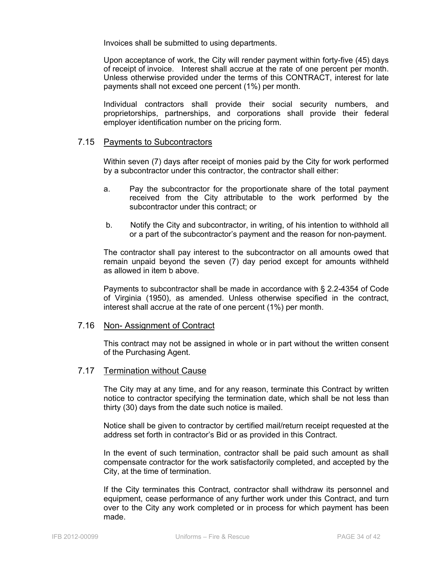Invoices shall be submitted to using departments.

Upon acceptance of work, the City will render payment within forty-five (45) days of receipt of invoice. Interest shall accrue at the rate of one percent per month. Unless otherwise provided under the terms of this CONTRACT, interest for late payments shall not exceed one percent (1%) per month.

Individual contractors shall provide their social security numbers, and proprietorships, partnerships, and corporations shall provide their federal employer identification number on the pricing form.

#### 7.15 Payments to Subcontractors

Within seven (7) days after receipt of monies paid by the City for work performed by a subcontractor under this contractor, the contractor shall either:

- a. Pay the subcontractor for the proportionate share of the total payment received from the City attributable to the work performed by the subcontractor under this contract; or
- b. Notify the City and subcontractor, in writing, of his intention to withhold all or a part of the subcontractor's payment and the reason for non-payment.

The contractor shall pay interest to the subcontractor on all amounts owed that remain unpaid beyond the seven (7) day period except for amounts withheld as allowed in item b above.

Payments to subcontractor shall be made in accordance with § 2.2-4354 of Code of Virginia (1950), as amended. Unless otherwise specified in the contract, interest shall accrue at the rate of one percent (1%) per month.

#### 7.16 Non- Assignment of Contract

This contract may not be assigned in whole or in part without the written consent of the Purchasing Agent.

#### 7.17 Termination without Cause

The City may at any time, and for any reason, terminate this Contract by written notice to contractor specifying the termination date, which shall be not less than thirty (30) days from the date such notice is mailed.

Notice shall be given to contractor by certified mail/return receipt requested at the address set forth in contractor's Bid or as provided in this Contract.

In the event of such termination, contractor shall be paid such amount as shall compensate contractor for the work satisfactorily completed, and accepted by the City, at the time of termination.

If the City terminates this Contract, contractor shall withdraw its personnel and equipment, cease performance of any further work under this Contract, and turn over to the City any work completed or in process for which payment has been made.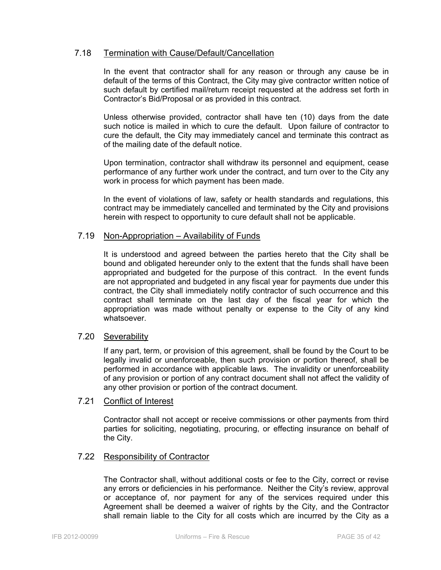# 7.18 Termination with Cause/Default/Cancellation

In the event that contractor shall for any reason or through any cause be in default of the terms of this Contract, the City may give contractor written notice of such default by certified mail/return receipt requested at the address set forth in Contractor's Bid/Proposal or as provided in this contract.

Unless otherwise provided, contractor shall have ten (10) days from the date such notice is mailed in which to cure the default. Upon failure of contractor to cure the default, the City may immediately cancel and terminate this contract as of the mailing date of the default notice.

Upon termination, contractor shall withdraw its personnel and equipment, cease performance of any further work under the contract, and turn over to the City any work in process for which payment has been made.

In the event of violations of law, safety or health standards and regulations, this contract may be immediately cancelled and terminated by the City and provisions herein with respect to opportunity to cure default shall not be applicable.

#### 7.19 Non-Appropriation – Availability of Funds

It is understood and agreed between the parties hereto that the City shall be bound and obligated hereunder only to the extent that the funds shall have been appropriated and budgeted for the purpose of this contract. In the event funds are not appropriated and budgeted in any fiscal year for payments due under this contract, the City shall immediately notify contractor of such occurrence and this contract shall terminate on the last day of the fiscal year for which the appropriation was made without penalty or expense to the City of any kind whatsoever.

#### 7.20 Severability

If any part, term, or provision of this agreement, shall be found by the Court to be legally invalid or unenforceable, then such provision or portion thereof, shall be performed in accordance with applicable laws. The invalidity or unenforceability of any provision or portion of any contract document shall not affect the validity of any other provision or portion of the contract document.

#### 7.21 Conflict of Interest

Contractor shall not accept or receive commissions or other payments from third parties for soliciting, negotiating, procuring, or effecting insurance on behalf of the City.

#### 7.22 Responsibility of Contractor

The Contractor shall, without additional costs or fee to the City, correct or revise any errors or deficiencies in his performance. Neither the City's review, approval or acceptance of, nor payment for any of the services required under this Agreement shall be deemed a waiver of rights by the City, and the Contractor shall remain liable to the City for all costs which are incurred by the City as a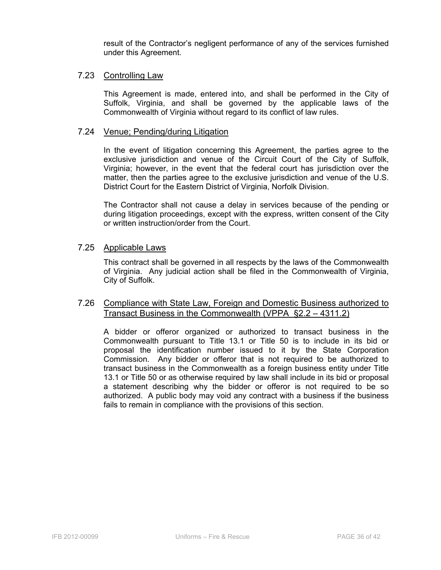result of the Contractor's negligent performance of any of the services furnished under this Agreement.

#### 7.23 Controlling Law

This Agreement is made, entered into, and shall be performed in the City of Suffolk, Virginia, and shall be governed by the applicable laws of the Commonwealth of Virginia without regard to its conflict of law rules.

#### 7.24 Venue; Pending/during Litigation

In the event of litigation concerning this Agreement, the parties agree to the exclusive jurisdiction and venue of the Circuit Court of the City of Suffolk, Virginia; however, in the event that the federal court has jurisdiction over the matter, then the parties agree to the exclusive jurisdiction and venue of the U.S. District Court for the Eastern District of Virginia, Norfolk Division.

The Contractor shall not cause a delay in services because of the pending or during litigation proceedings, except with the express, written consent of the City or written instruction/order from the Court.

#### 7.25 Applicable Laws

This contract shall be governed in all respects by the laws of the Commonwealth of Virginia. Any judicial action shall be filed in the Commonwealth of Virginia, City of Suffolk.

#### 7.26 Compliance with State Law, Foreign and Domestic Business authorized to Transact Business in the Commonwealth (VPPA §2.2 – 4311.2)

A bidder or offeror organized or authorized to transact business in the Commonwealth pursuant to Title 13.1 or Title 50 is to include in its bid or proposal the identification number issued to it by the State Corporation Commission. Any bidder or offeror that is not required to be authorized to transact business in the Commonwealth as a foreign business entity under Title 13.1 or Title 50 or as otherwise required by law shall include in its bid or proposal a statement describing why the bidder or offeror is not required to be so authorized. A public body may void any contract with a business if the business fails to remain in compliance with the provisions of this section.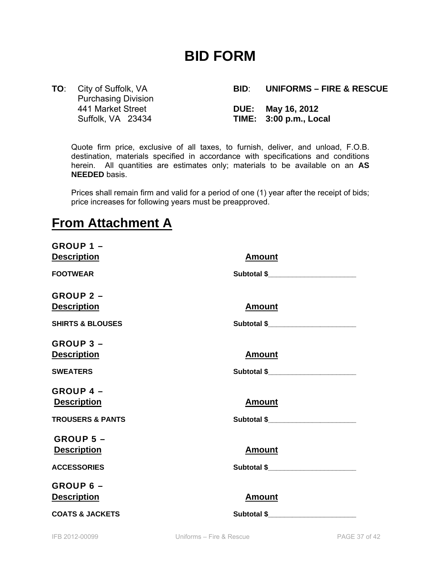# **BID FORM**

Purchasing Division 441 Market Street **DUE: May 16, 2012** 

**TO**: City of Suffolk, VA **BID**: **UNIFORMS – FIRE & RESCUE**  Suffolk, VA 23434 **TIME: 3:00 p.m., Local**

Quote firm price, exclusive of all taxes, to furnish, deliver, and unload, F.O.B. destination, materials specified in accordance with specifications and conditions herein. All quantities are estimates only; materials to be available on an **AS NEEDED** basis.

Prices shall remain firm and valid for a period of one (1) year after the receipt of bids; price increases for following years must be preapproved.

# **From Attachment A**

| <b>GROUP 1 -</b>            |                                                                                                                                                                                                                                 |
|-----------------------------|---------------------------------------------------------------------------------------------------------------------------------------------------------------------------------------------------------------------------------|
| <b>Description</b>          | <b>Amount</b>                                                                                                                                                                                                                   |
| <b>FOOTWEAR</b>             | Subtotal \$________________________                                                                                                                                                                                             |
| <b>GROUP 2 -</b>            |                                                                                                                                                                                                                                 |
| <b>Description</b>          | <b>Amount</b>                                                                                                                                                                                                                   |
| <b>SHIRTS &amp; BLOUSES</b> | Subtotal \$                                                                                                                                                                                                                     |
| <b>GROUP 3 -</b>            |                                                                                                                                                                                                                                 |
| <b>Description</b>          | <b>Amount</b>                                                                                                                                                                                                                   |
| <b>SWEATERS</b>             | Subtotal \$                                                                                                                                                                                                                     |
| <b>GROUP 4 -</b>            |                                                                                                                                                                                                                                 |
| <b>Description</b>          | <b>Amount</b>                                                                                                                                                                                                                   |
| <b>TROUSERS &amp; PANTS</b> | Subtotal \$ and the state of the state of the state of the state of the state of the state of the state of the state of the state of the state of the state of the state of the state of the state of the state of the state of |
| <b>GROUP 5 -</b>            |                                                                                                                                                                                                                                 |
| <b>Description</b>          | <b>Amount</b>                                                                                                                                                                                                                   |
| <b>ACCESSORIES</b>          |                                                                                                                                                                                                                                 |
| GROUP 6 -                   |                                                                                                                                                                                                                                 |
| <b>Description</b>          | <b>Amount</b>                                                                                                                                                                                                                   |
| <b>COATS &amp; JACKETS</b>  | Subtotal \$                                                                                                                                                                                                                     |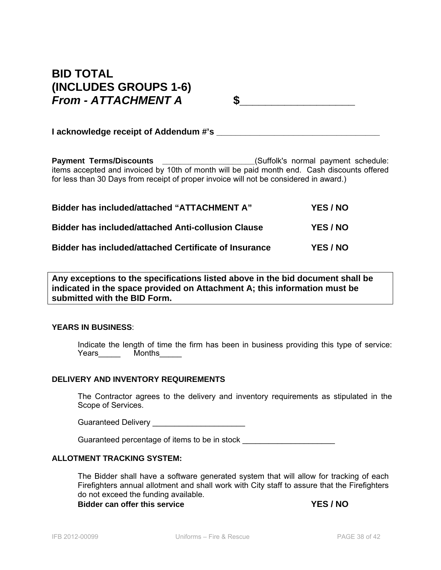# **BID TOTAL (INCLUDES GROUPS 1-6)**  *From - ATTACHMENT A* **\$\_\_\_\_\_\_\_\_\_\_\_\_\_\_\_\_\_\_**

**I** acknowledge receipt of Addendum #'s  $\blacksquare$ 

Payment Terms/Discounts \_\_\_\_\_\_\_\_\_\_\_\_\_\_\_\_\_\_\_\_\_\_(Suffolk's normal payment schedule: items accepted and invoiced by 10th of month will be paid month end. Cash discounts offered for less than 30 Days from receipt of proper invoice will not be considered in award.)

| <b>Bidder has included/attached "ATTACHMENT A"</b>        | YES / NO |
|-----------------------------------------------------------|----------|
| <b>Bidder has included/attached Anti-collusion Clause</b> | YES / NO |
| Bidder has included/attached Certificate of Insurance     | YES / NO |

**Any exceptions to the specifications listed above in the bid document shall be indicated in the space provided on Attachment A; this information must be submitted with the BID Form.** 

#### **YEARS IN BUSINESS**:

Indicate the length of time the firm has been in business providing this type of service: Years\_\_\_\_\_\_\_ Months\_\_\_\_\_\_

#### **DELIVERY AND INVENTORY REQUIREMENTS**

The Contractor agrees to the delivery and inventory requirements as stipulated in the Scope of Services.

Guaranteed Delivery \_\_\_\_\_\_\_\_\_\_\_\_\_\_\_\_\_\_\_\_\_

Guaranteed percentage of items to be in stock

#### **ALLOTMENT TRACKING SYSTEM:**

The Bidder shall have a software generated system that will allow for tracking of each Firefighters annual allotment and shall work with City staff to assure that the Firefighters do not exceed the funding available.

**Bidder can offer this service WES / NO**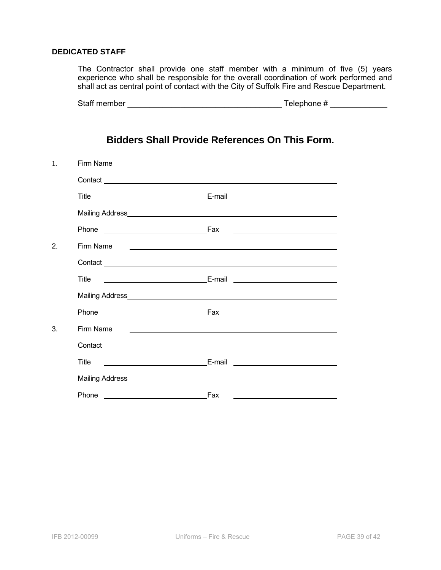#### **DEDICATED STAFF**

The Contractor shall provide one staff member with a minimum of five (5) years experience who shall be responsible for the overall coordination of work performed and shall act as central point of contact with the City of Suffolk Fire and Rescue Department.

|  | Staff member | Telephone # |
|--|--------------|-------------|
|--|--------------|-------------|

# **Bidders Shall Provide References On This Form.**

| $\mathbf{1}$ . | Firm Name |                                                                                                                       |
|----------------|-----------|-----------------------------------------------------------------------------------------------------------------------|
|                |           |                                                                                                                       |
|                | Title     | <u> Alexandria de la contenta de la contenta de la contenta de la contenta de la contenta de la contenta de la c</u>  |
|                |           |                                                                                                                       |
|                | Phone     |                                                                                                                       |
| 2.             | Firm Name |                                                                                                                       |
|                |           |                                                                                                                       |
|                | Title     |                                                                                                                       |
|                |           |                                                                                                                       |
|                |           | <u> 1989 - Johann Harry Harry Harry Harry Harry Harry Harry Harry Harry Harry Harry Harry Harry Harry Harry Harry</u> |
| 3.             | Firm Name | <u> 1980 - Jan Samuel Barbara, poeta establecea establecea establecea establecea establecea establecea establecea</u> |
|                |           |                                                                                                                       |
|                | Title     |                                                                                                                       |
|                |           |                                                                                                                       |
|                | Phone     | Fax                                                                                                                   |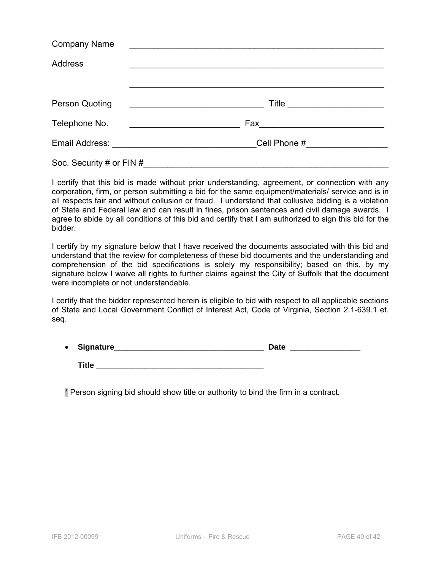| <b>Company Name</b>      |                                 |  |  |
|--------------------------|---------------------------------|--|--|
| <b>Address</b>           |                                 |  |  |
|                          |                                 |  |  |
| <b>Person Quoting</b>    | Title ___________________       |  |  |
| Telephone No.            |                                 |  |  |
|                          | Cell Phone # __________________ |  |  |
| Soc. Security # or FIN # |                                 |  |  |

I certify that this bid is made without prior understanding, agreement, or connection with any corporation, firm, or person submitting a bid for the same equipment/materials/ service and is in all respects fair and without collusion or fraud. I understand that collusive bidding is a violation of State and Federal law and can result in fines, prison sentences and civil damage awards. I agree to abide by all conditions of this bid and certify that I am authorized to sign this bid for the bidder.

I certify by my signature below that I have received the documents associated with this bid and understand that the review for completeness of these bid documents and the understanding and comprehension of the bid specifications is solely my responsibility; based on this, by my signature below I waive all rights to further claims against the City of Suffolk that the document were incomplete or not understandable.

I certify that the bidder represented herein is eligible to bid with respect to all applicable sections of State and Local Government Conflict of Interest Act, Code of Virginia, Section 2.1-639.1 et. seq.

| • Signature_ | <b>Date</b> |
|--------------|-------------|
| Title        |             |

\* Person signing bid should show title or authority to bind the firm in a contract.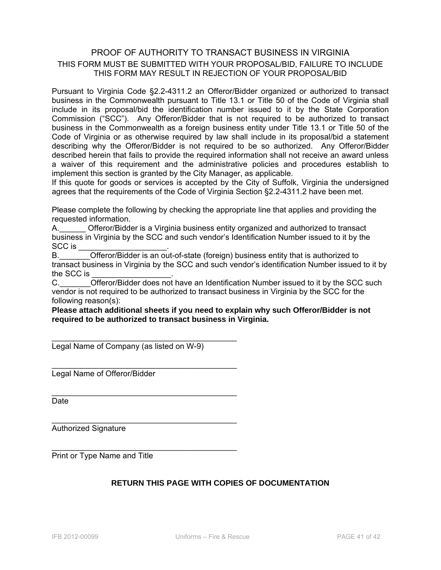# PROOF OF AUTHORITY TO TRANSACT BUSINESS IN VIRGINIA THIS FORM MUST BE SUBMITTED WITH YOUR PROPOSAL/BID, FAILURE TO INCLUDE THIS FORM MAY RESULT IN REJECTION OF YOUR PROPOSAL/BID

Pursuant to Virginia Code §2.2-4311.2 an Offeror/Bidder organized or authorized to transact business in the Commonwealth pursuant to Title 13.1 or Title 50 of the Code of Virginia shall include in its proposal/bid the identification number issued to it by the State Corporation Commission ("SCC"). Any Offeror/Bidder that is not required to be authorized to transact business in the Commonwealth as a foreign business entity under Title 13.1 or Title 50 of the Code of Virginia or as otherwise required by law shall include in its proposal/bid a statement describing why the Offeror/Bidder is not required to be so authorized. Any Offeror/Bidder described herein that fails to provide the required information shall not receive an award unless a waiver of this requirement and the administrative policies and procedures establish to implement this section is granted by the City Manager, as applicable.

If this quote for goods or services is accepted by the City of Suffolk, Virginia the undersigned agrees that the requirements of the Code of Virginia Section §2.2-4311.2 have been met.

Please complete the following by checking the appropriate line that applies and providing the requested information.

A. Cfferor/Bidder is a Virginia business entity organized and authorized to transact business in Virginia by the SCC and such vendor's Identification Number issued to it by the SCC is

B. Come of the Offeror/Bidder is an out-of-state (foreign) business entity that is authorized to transact business in Virginia by the SCC and such vendor's identification Number issued to it by the SCC is

C. C. Citeror/Bidder does not have an Identification Number issued to it by the SCC such vendor is not required to be authorized to transact business in Virginia by the SCC for the following reason(s):

**Please attach additional sheets if you need to explain why such Offeror/Bidder is not required to be authorized to transact business in Virginia.** 

Legal Name of Company (as listed on W-9)

\_\_\_\_\_\_\_\_\_\_\_\_\_\_\_\_\_\_\_\_\_\_\_\_\_\_\_\_\_\_\_\_\_\_\_\_\_\_\_\_\_\_

\_\_\_\_\_\_\_\_\_\_\_\_\_\_\_\_\_\_\_\_\_\_\_\_\_\_\_\_\_\_\_\_\_\_\_\_\_\_\_\_\_\_

\_\_\_\_\_\_\_\_\_\_\_\_\_\_\_\_\_\_\_\_\_\_\_\_\_\_\_\_\_\_\_\_\_\_\_\_\_\_\_\_\_\_

 $\frac{1}{2}$  ,  $\frac{1}{2}$  ,  $\frac{1}{2}$  ,  $\frac{1}{2}$  ,  $\frac{1}{2}$  ,  $\frac{1}{2}$  ,  $\frac{1}{2}$  ,  $\frac{1}{2}$  ,  $\frac{1}{2}$  ,  $\frac{1}{2}$  ,  $\frac{1}{2}$  ,  $\frac{1}{2}$  ,  $\frac{1}{2}$  ,  $\frac{1}{2}$  ,  $\frac{1}{2}$  ,  $\frac{1}{2}$  ,  $\frac{1}{2}$  ,  $\frac{1}{2}$  ,  $\frac{1$ 

 $\frac{1}{2}$  ,  $\frac{1}{2}$  ,  $\frac{1}{2}$  ,  $\frac{1}{2}$  ,  $\frac{1}{2}$  ,  $\frac{1}{2}$  ,  $\frac{1}{2}$  ,  $\frac{1}{2}$  ,  $\frac{1}{2}$  ,  $\frac{1}{2}$  ,  $\frac{1}{2}$  ,  $\frac{1}{2}$  ,  $\frac{1}{2}$  ,  $\frac{1}{2}$  ,  $\frac{1}{2}$  ,  $\frac{1}{2}$  ,  $\frac{1}{2}$  ,  $\frac{1}{2}$  ,  $\frac{1$ 

Legal Name of Offeror/Bidder

Date

Authorized Signature

Print or Type Name and Title

# **RETURN THIS PAGE WITH COPIES OF DOCUMENTATION**